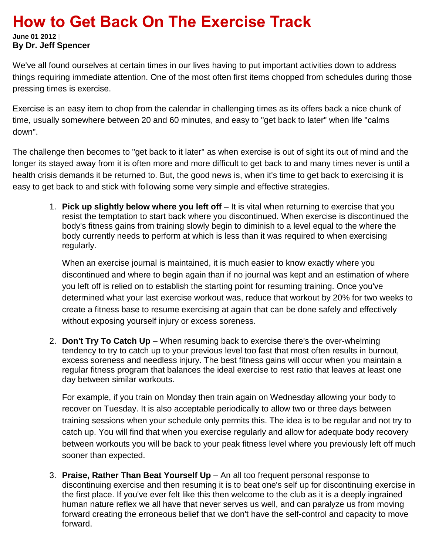# **How to Get Back On The Exercise Track**

**June 01 2012 | By Dr. Jeff Spencer**

We've all found ourselves at certain times in our lives having to put important activities down to address things requiring immediate attention. One of the most often first items chopped from schedules during those pressing times is exercise.

Exercise is an easy item to chop from the calendar in challenging times as its offers back a nice chunk of time, usually somewhere between 20 and 60 minutes, and easy to "get back to later" when life "calms down".

The challenge then becomes to "get back to it later" as when exercise is out of sight its out of mind and the longer its stayed away from it is often more and more difficult to get back to and many times never is until a health crisis demands it be returned to. But, the good news is, when it's time to get back to exercising it is easy to get back to and stick with following some very simple and effective strategies.

1. **Pick up slightly below where you left off** – It is vital when returning to exercise that you resist the temptation to start back where you discontinued. When exercise is discontinued the body's fitness gains from training slowly begin to diminish to a level equal to the where the body currently needs to perform at which is less than it was required to when exercising regularly.

When an exercise journal is maintained, it is much easier to know exactly where you discontinued and where to begin again than if no journal was kept and an estimation of where you left off is relied on to establish the starting point for resuming training. Once you've determined what your last exercise workout was, reduce that workout by 20% for two weeks to create a fitness base to resume exercising at again that can be done safely and effectively without exposing yourself injury or excess soreness.

2. **Don't Try To Catch Up** – When resuming back to exercise there's the over-whelming tendency to try to catch up to your previous level too fast that most often results in burnout, excess soreness and needless injury. The best fitness gains will occur when you maintain a regular fitness program that balances the ideal exercise to rest ratio that leaves at least one day between similar workouts.

For example, if you train on Monday then train again on Wednesday allowing your body to recover on Tuesday. It is also acceptable periodically to allow two or three days between training sessions when your schedule only permits this. The idea is to be regular and not try to catch up. You will find that when you exercise regularly and allow for adequate body recovery between workouts you will be back to your peak fitness level where you previously left off much sooner than expected.

3. **Praise, Rather Than Beat Yourself Up** – An all too frequent personal response to discontinuing exercise and then resuming it is to beat one's self up for discontinuing exercise in the first place. If you've ever felt like this then welcome to the club as it is a deeply ingrained human nature reflex we all have that never serves us well, and can paralyze us from moving forward creating the erroneous belief that we don't have the self-control and capacity to move forward.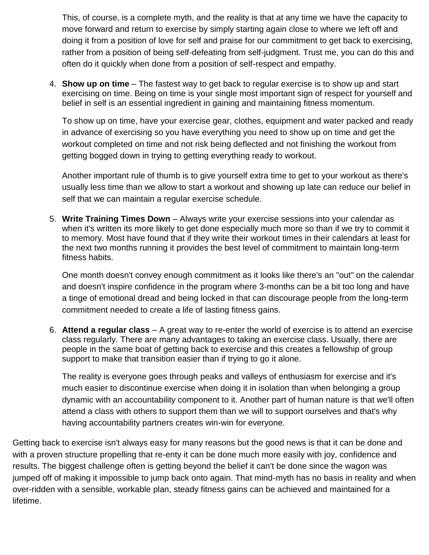This, of course, is a complete myth, and the reality is that at any time we have the capacity to move forward and return to exercise by simply starting again close to where we left off and doing it from a position of love for self and praise for our commitment to get back to exercising, rather from a position of being self-defeating from self-judgment. Trust me, you can do this and often do it quickly when done from a position of self-respect and empathy.

4. **Show up on time** – The fastest way to get back to regular exercise is to show up and start exercising on time. Being on time is your single most important sign of respect for yourself and belief in self is an essential ingredient in gaining and maintaining fitness momentum.

To show up on time, have your exercise gear, clothes, equipment and water packed and ready in advance of exercising so you have everything you need to show up on time and get the workout completed on time and not risk being deflected and not finishing the workout from getting bogged down in trying to getting everything ready to workout.

Another important rule of thumb is to give yourself extra time to get to your workout as there's usually less time than we allow to start a workout and showing up late can reduce our belief in self that we can maintain a regular exercise schedule.

5. **Write Training Times Down** – Always write your exercise sessions into your calendar as when it's written its more likely to get done especially much more so than if we try to commit it to memory. Most have found that if they write their workout times in their calendars at least for the next two months running it provides the best level of commitment to maintain long-term fitness habits.

One month doesn't convey enough commitment as it looks like there's an "out" on the calendar and doesn't inspire confidence in the program where 3-months can be a bit too long and have a tinge of emotional dread and being locked in that can discourage people from the long-term commitment needed to create a life of lasting fitness gains.

6. **Attend a regular class** – A great way to re-enter the world of exercise is to attend an exercise class regularly. There are many advantages to taking an exercise class. Usually, there are people in the same boat of getting back to exercise and this creates a fellowship of group support to make that transition easier than if trying to go it alone.

The reality is everyone goes through peaks and valleys of enthusiasm for exercise and it's much easier to discontinue exercise when doing it in isolation than when belonging a group dynamic with an accountability component to it. Another part of human nature is that we'll often attend a class with others to support them than we will to support ourselves and that's why having accountability partners creates win-win for everyone.

Getting back to exercise isn't always easy for many reasons but the good news is that it can be done and with a proven structure propelling that re-enty it can be done much more easily with joy, confidence and results. The biggest challenge often is getting beyond the belief it can't be done since the wagon was jumped off of making it impossible to jump back onto again. That mind-myth has no basis in reality and when over-ridden with a sensible, workable plan, steady fitness gains can be achieved and maintained for a lifetime.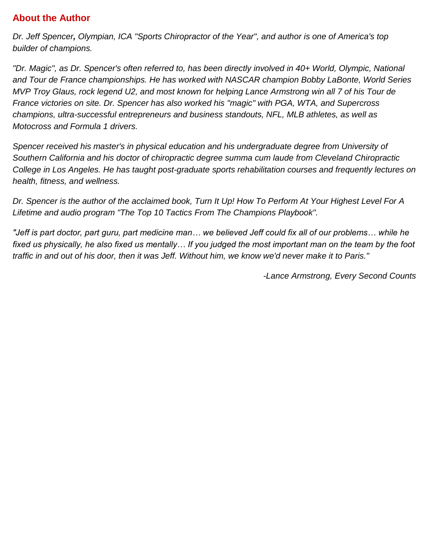## **About the Author**

*Dr. Jeff Spencer, Olympian, ICA "Sports Chiropractor of the Year", and author is one of America's top builder of champions.* 

*"Dr. Magic", as Dr. Spencer's often referred to, has been directly involved in 40+ World, Olympic, National and Tour de France championships. He has worked with NASCAR champion Bobby LaBonte, World Series MVP Troy Glaus, rock legend U2, and most known for helping Lance Armstrong win all 7 of his Tour de France victories on site. Dr. Spencer has also worked his "magic" with PGA, WTA, and Supercross champions, ultra-successful entrepreneurs and business standouts, NFL, MLB athletes, as well as Motocross and Formula 1 drivers.* 

*Spencer received his master's in physical education and his undergraduate degree from University of Southern California and his doctor of chiropractic degree summa cum laude from Cleveland Chiropractic College in Los Angeles. He has taught post-graduate sports rehabilitation courses and frequently lectures on health, fitness, and wellness.* 

*Dr. Spencer is the author of the acclaimed book, Turn It Up! How To Perform At Your Highest Level For A Lifetime and audio program "The Top 10 Tactics From The Champions Playbook".*

*"Jeff is part doctor, part guru, part medicine man… we believed Jeff could fix all of our problems… while he fixed us physically, he also fixed us mentally… If you judged the most important man on the team by the foot traffic in and out of his door, then it was Jeff. Without him, we know we'd never make it to Paris."*

*-Lance Armstrong, Every Second Counts*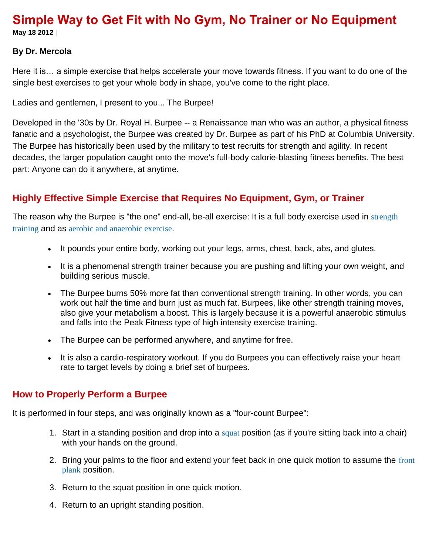# **Simple Way to Get Fit with No Gym, No Trainer or No Equipment**

**May 18 2012 |**

#### **By Dr. Mercola**

Here it is… a simple exercise that helps accelerate your move towards fitness. If you want to do one of the single best exercises to get your whole body in shape, you've come to the right place.

Ladies and gentlemen, I present to you... The Burpee!

Developed in the '30s by Dr. Royal H. Burpee -- a Renaissance man who was an author, a physical fitness fanatic and a psychologist, the Burpee was created by Dr. Burpee as part of his PhD at Columbia University. The Burpee has historically been used by the military to test recruits for strength and agility. In recent decades, the larger population caught onto the move's full-body calorie-blasting fitness benefits. The best part: Anyone can do it anywhere, at anytime.

## **Highly Effective Simple Exercise that Requires No Equipment, Gym, or Trainer**

The reason why the Burpee is "the one" end-all, be-all exercise: It is a full body exercise used in strength [training](http://en.wikipedia.org/wiki/Strength_training) and as [aerobic and anaerobic exercise](http://en.wikipedia.org/wiki/Aerobic_exercise).

- It pounds your entire body, working out your legs, arms, chest, back, abs, and glutes.
- It is a phenomenal strength trainer because you are pushing and lifting your own weight, and building serious muscle.
- The Burpee burns 50% more fat than conventional strength training. In other words, you can work out half the time and burn just as much fat. Burpees, like other strength training moves, also give your metabolism a boost. This is largely because it is a powerful anaerobic stimulus and falls into the Peak Fitness type of high intensity exercise training.
- The Burpee can be performed anywhere, and anytime for free.
- It is also a cardio-respiratory workout. If you do Burpees you can effectively raise your heart rate to target levels by doing a brief set of burpees.

#### **How to Properly Perform a Burpee**

It is performed in four steps, and was originally known as a "four-count Burpee":

- 1. Start in a standing position and drop into a [squat](http://en.wikipedia.org/wiki/Squat_%28exercise%29) position (as if you're sitting back into a chair) with your hands on the ground.
- 2. Bring your palms to the floor and extend your feet back in one quick motion to assume the [front](http://en.wikipedia.org/wiki/Plank_%28exercise%29)  [plank](http://en.wikipedia.org/wiki/Plank_%28exercise%29) position.
- 3. Return to the squat position in one quick motion.
- 4. Return to an upright standing position.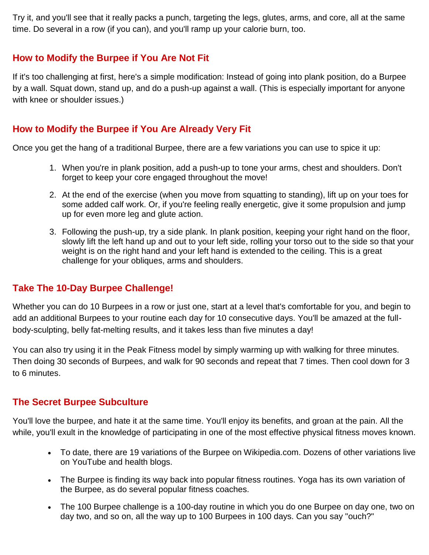Try it, and you'll see that it really packs a punch, targeting the legs, glutes, arms, and core, all at the same time. Do several in a row (if you can), and you'll ramp up your calorie burn, too.

#### **How to Modify the Burpee if You Are Not Fit**

If it's too challenging at first, here's a simple modification: Instead of going into plank position, do a Burpee by a wall. Squat down, stand up, and do a push-up against a wall. (This is especially important for anyone with knee or shoulder issues.)

#### **How to Modify the Burpee if You Are Already Very Fit**

Once you get the hang of a traditional Burpee, there are a few variations you can use to spice it up:

- 1. When you're in plank position, add a push-up to tone your arms, chest and shoulders. Don't forget to keep your core engaged throughout the move!
- 2. At the end of the exercise (when you move from squatting to standing), lift up on your toes for some added calf work. Or, if you're feeling really energetic, give it some propulsion and jump up for even more leg and glute action.
- 3. Following the push-up, try a side plank. In plank position, keeping your right hand on the floor, slowly lift the left hand up and out to your left side, rolling your torso out to the side so that your weight is on the right hand and your left hand is extended to the ceiling. This is a great challenge for your obliques, arms and shoulders.

#### **Take The 10-Day Burpee Challenge!**

Whether you can do 10 Burpees in a row or just one, start at a level that's comfortable for you, and begin to add an additional Burpees to your routine each day for 10 consecutive days. You'll be amazed at the fullbody-sculpting, belly fat-melting results, and it takes less than five minutes a day!

You can also try using it in the Peak Fitness model by simply warming up with walking for three minutes. Then doing 30 seconds of Burpees, and walk for 90 seconds and repeat that 7 times. Then cool down for 3 to 6 minutes.

#### **The Secret Burpee Subculture**

You'll love the burpee, and hate it at the same time. You'll enjoy its benefits, and groan at the pain. All the while, you'll exult in the knowledge of participating in one of the most effective physical fitness moves known.

- To date, there are 19 variations of the Burpee on Wikipedia.com. Dozens of other variations live on YouTube and health blogs.
- The Burpee is finding its way back into popular fitness routines. Yoga has its own variation of the Burpee, as do several popular fitness coaches.
- The 100 Burpee challenge is a 100-day routine in which you do one Burpee on day one, two on day two, and so on, all the way up to 100 Burpees in 100 days. Can you say "ouch?"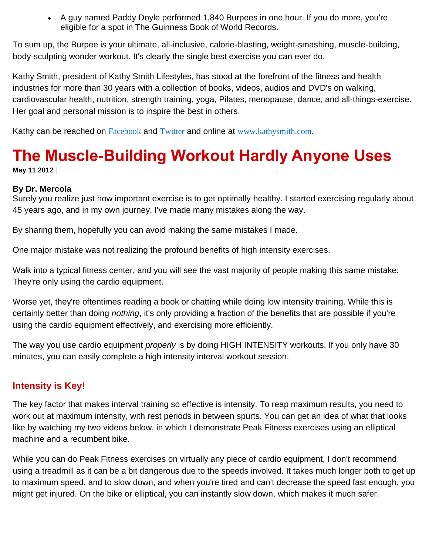A guy named Paddy Doyle performed 1,840 Burpees in one hour. If you do more, you're eligible for a spot in The Guinness Book of World Records.

To sum up, the Burpee is your ultimate, all-inclusive, calorie-blasting, weight-smashing, muscle-building, body-sculpting wonder workout. It's clearly the single best exercise you can ever do.

Kathy Smith, president of Kathy Smith Lifestyles, has stood at the forefront of the fitness and health industries for more than 30 years with a collection of books, videos, audios and DVD's on walking, cardiovascular health, nutrition, strength training, yoga, Pilates, menopause, dance, and all-things-exercise. Her goal and personal mission is to inspire the best in others.

Kathy can be reached on [Facebook](http://www.facebook.com/theRealKathySmith) and [Twitter](https://twitter.com/kathyfit) and online at [www.kathysmith.com](http://www.kathysmith.com/).

# **The Muscle-Building Workout Hardly Anyone Uses**

**May 11 2012 |**

#### **By Dr. Mercola**

Surely you realize just how important exercise is to get optimally healthy. I started exercising regularly about 45 years ago, and in my own journey, I've made many mistakes along the way.

By sharing them, hopefully you can avoid making the same mistakes I made.

One major mistake was not realizing the profound benefits of high intensity exercises.

Walk into a typical fitness center, and you will see the vast majority of people making this same mistake: They're only using the cardio equipment.

Worse yet, they're oftentimes reading a book or chatting while doing low intensity training. While this is certainly better than doing *nothing*, it's only providing a fraction of the benefits that are possible if you're using the cardio equipment effectively, and exercising more efficiently.

The way you use cardio equipment *properly* is by doing HIGH INTENSITY workouts. If you only have 30 minutes, you can easily complete a high intensity interval workout session.

#### **Intensity is Key!**

The key factor that makes interval training so effective is intensity. To reap maximum results, you need to work out at maximum intensity, with rest periods in between spurts. You can get an idea of what that looks like by watching my two videos below, in which I demonstrate Peak Fitness exercises using an elliptical machine and a recumbent bike.

While you can do Peak Fitness exercises on virtually any piece of cardio equipment, I don't recommend using a treadmill as it can be a bit dangerous due to the speeds involved. It takes much longer both to get up to maximum speed, and to slow down, and when you're tired and can't decrease the speed fast enough, you might get injured. On the bike or elliptical, you can instantly slow down, which makes it much safer.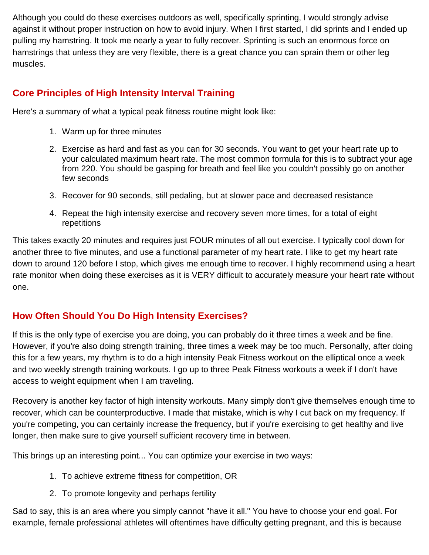Although you could do these exercises outdoors as well, specifically sprinting, I would strongly advise against it without proper instruction on how to avoid injury. When I first started, I did sprints and I ended up pulling my hamstring. It took me nearly a year to fully recover. Sprinting is such an enormous force on hamstrings that unless they are very flexible, there is a great chance you can sprain them or other leg muscles.

# **Core Principles of High Intensity Interval Training**

Here's a summary of what a typical peak fitness routine might look like:

- 1. Warm up for three minutes
- 2. Exercise as hard and fast as you can for 30 seconds. You want to get your heart rate up to your calculated maximum heart rate. The most common formula for this is to subtract your age from 220. You should be gasping for breath and feel like you couldn't possibly go on another few seconds
- 3. Recover for 90 seconds, still pedaling, but at slower pace and decreased resistance
- 4. Repeat the high intensity exercise and recovery seven more times, for a total of eight repetitions

This takes exactly 20 minutes and requires just FOUR minutes of all out exercise. I typically cool down for another three to five minutes, and use a functional parameter of my heart rate. I like to get my heart rate down to around 120 before I stop, which gives me enough time to recover. I highly recommend using a heart rate monitor when doing these exercises as it is VERY difficult to accurately measure your heart rate without one.

# **How Often Should You Do High Intensity Exercises?**

If this is the only type of exercise you are doing, you can probably do it three times a week and be fine. However, if you're also doing strength training, three times a week may be too much. Personally, after doing this for a few years, my rhythm is to do a high intensity Peak Fitness workout on the elliptical once a week and two weekly strength training workouts. I go up to three Peak Fitness workouts a week if I don't have access to weight equipment when I am traveling.

Recovery is another key factor of high intensity workouts. Many simply don't give themselves enough time to recover, which can be counterproductive. I made that mistake, which is why I cut back on my frequency. If you're competing, you can certainly increase the frequency, but if you're exercising to get healthy and live longer, then make sure to give yourself sufficient recovery time in between.

This brings up an interesting point... You can optimize your exercise in two ways:

- 1. To achieve extreme fitness for competition, OR
- 2. To promote longevity and perhaps fertility

Sad to say, this is an area where you simply cannot "have it all." You have to choose your end goal. For example, female professional athletes will oftentimes have difficulty getting pregnant, and this is because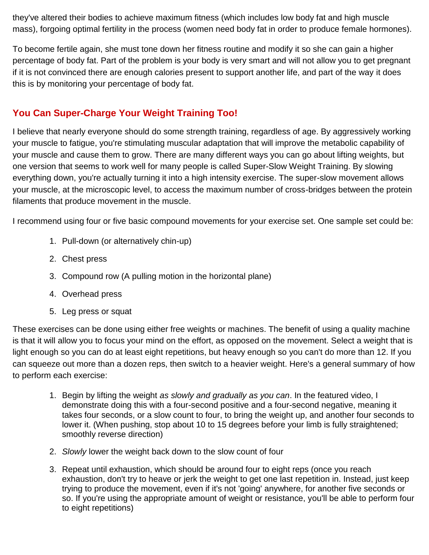they've altered their bodies to achieve maximum fitness (which includes low body fat and high muscle mass), forgoing optimal fertility in the process (women need body fat in order to produce female hormones).

To become fertile again, she must tone down her fitness routine and modify it so she can gain a higher percentage of body fat. Part of the problem is your body is very smart and will not allow you to get pregnant if it is not convinced there are enough calories present to support another life, and part of the way it does this is by monitoring your percentage of body fat.

# **You Can Super-Charge Your Weight Training Too!**

I believe that nearly everyone should do some strength training, regardless of age. By aggressively working your muscle to fatigue, you're stimulating muscular adaptation that will improve the metabolic capability of your muscle and cause them to grow. There are many different ways you can go about lifting weights, but one version that seems to work well for many people is called Super-Slow Weight Training. By slowing everything down, you're actually turning it into a high intensity exercise. The super-slow movement allows your muscle, at the microscopic level, to access the maximum number of cross-bridges between the protein filaments that produce movement in the muscle.

I recommend using four or five basic compound movements for your exercise set. One sample set could be:

- 1. Pull-down (or alternatively chin-up)
- 2. Chest press
- 3. Compound row (A pulling motion in the horizontal plane)
- 4. Overhead press
- 5. Leg press or squat

These exercises can be done using either free weights or machines. The benefit of using a quality machine is that it will allow you to focus your mind on the effort, as opposed on the movement. Select a weight that is light enough so you can do at least eight repetitions, but heavy enough so you can't do more than 12. If you can squeeze out more than a dozen reps, then switch to a heavier weight. Here's a general summary of how to perform each exercise:

- 1. Begin by lifting the weight *as slowly and gradually as you can*. In the featured video, I demonstrate doing this with a four-second positive and a four-second negative, meaning it takes four seconds, or a slow count to four, to bring the weight up, and another four seconds to lower it. (When pushing, stop about 10 to 15 degrees before your limb is fully straightened; smoothly reverse direction)
- 2. *Slowly* lower the weight back down to the slow count of four
- 3. Repeat until exhaustion, which should be around four to eight reps (once you reach exhaustion, don't try to heave or jerk the weight to get one last repetition in. Instead, just keep trying to produce the movement, even if it's not 'going' anywhere, for another five seconds or so. If you're using the appropriate amount of weight or resistance, you'll be able to perform four to eight repetitions)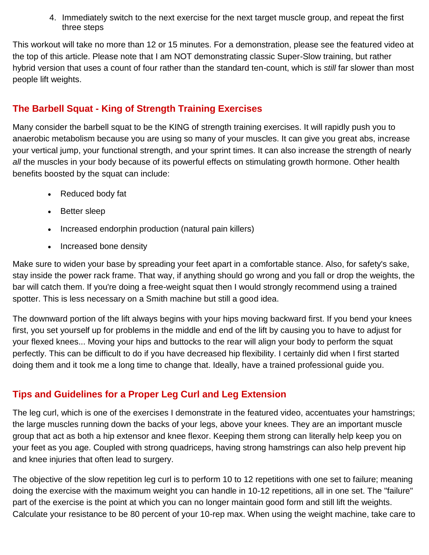4. Immediately switch to the next exercise for the next target muscle group, and repeat the first three steps

This workout will take no more than 12 or 15 minutes. For a demonstration, please see the featured video at the top of this article. Please note that I am NOT demonstrating classic Super-Slow training, but rather hybrid version that uses a count of four rather than the standard ten-count, which is *still* far slower than most people lift weights.

## **The Barbell Squat - King of Strength Training Exercises**

Many consider the barbell squat to be the KING of strength training exercises. It will rapidly push you to anaerobic metabolism because you are using so many of your muscles. It can give you great abs, increase your vertical jump, your functional strength, and your sprint times. It can also increase the strength of nearly all the muscles in your body because of its powerful effects on stimulating growth hormone. Other health benefits boosted by the squat can include:

- Reduced body fat
- Better sleep
- Increased endorphin production (natural pain killers)
- Increased bone density

Make sure to widen your base by spreading your feet apart in a comfortable stance. Also, for safety's sake, stay inside the power rack frame. That way, if anything should go wrong and you fall or drop the weights, the bar will catch them. If you're doing a free-weight squat then I would strongly recommend using a trained spotter. This is less necessary on a Smith machine but still a good idea.

The downward portion of the lift always begins with your hips moving backward first. If you bend your knees first, you set yourself up for problems in the middle and end of the lift by causing you to have to adjust for your flexed knees... Moving your hips and buttocks to the rear will align your body to perform the squat perfectly. This can be difficult to do if you have decreased hip flexibility. I certainly did when I first started doing them and it took me a long time to change that. Ideally, have a trained professional guide you.

## **Tips and Guidelines for a Proper Leg Curl and Leg Extension**

The leg curl, which is one of the exercises I demonstrate in the featured video, accentuates your hamstrings; the large muscles running down the backs of your legs, above your knees. They are an important muscle group that act as both a hip extensor and knee flexor. Keeping them strong can literally help keep you on your feet as you age. Coupled with strong quadriceps, having strong hamstrings can also help prevent hip and knee injuries that often lead to surgery.

The objective of the slow repetition leg curl is to perform 10 to 12 repetitions with one set to failure; meaning doing the exercise with the maximum weight you can handle in 10-12 repetitions, all in one set. The "failure" part of the exercise is the point at which you can no longer maintain good form and still lift the weights. Calculate your resistance to be 80 percent of your 10-rep max. When using the weight machine, take care to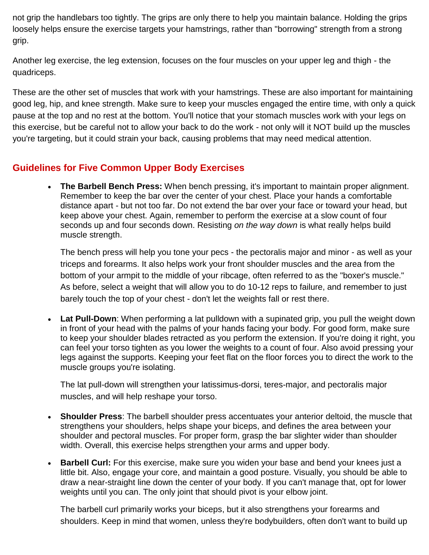not grip the handlebars too tightly. The grips are only there to help you maintain balance. Holding the grips loosely helps ensure the exercise targets your hamstrings, rather than "borrowing" strength from a strong grip.

Another leg exercise, the leg extension, focuses on the four muscles on your upper leg and thigh - the quadriceps.

These are the other set of muscles that work with your hamstrings. These are also important for maintaining good leg, hip, and knee strength. Make sure to keep your muscles engaged the entire time, with only a quick pause at the top and no rest at the bottom. You'll notice that your stomach muscles work with your legs on this exercise, but be careful not to allow your back to do the work - not only will it NOT build up the muscles you're targeting, but it could strain your back, causing problems that may need medical attention.

## **Guidelines for Five Common Upper Body Exercises**

 **The Barbell Bench Press:** When bench pressing, it's important to maintain proper alignment. Remember to keep the bar over the center of your chest. Place your hands a comfortable distance apart - but not too far. Do not extend the bar over your face or toward your head, but keep above your chest. Again, remember to perform the exercise at a slow count of four seconds up and four seconds down. Resisting *on the way down* is what really helps build muscle strength.

The bench press will help you tone your pecs - the pectoralis major and minor - as well as your triceps and forearms. It also helps work your front shoulder muscles and the area from the bottom of your armpit to the middle of your ribcage, often referred to as the "boxer's muscle." As before, select a weight that will allow you to do 10-12 reps to failure, and remember to just barely touch the top of your chest - don't let the weights fall or rest there.

 **Lat Pull-Down**: When performing a lat pulldown with a supinated grip, you pull the weight down in front of your head with the palms of your hands facing your body. For good form, make sure to keep your shoulder blades retracted as you perform the extension. If you're doing it right, you can feel your torso tighten as you lower the weights to a count of four. Also avoid pressing your legs against the supports. Keeping your feet flat on the floor forces you to direct the work to the muscle groups you're isolating.

The lat pull-down will strengthen your latissimus-dorsi, teres-major, and pectoralis major muscles, and will help reshape your torso.

- **Shoulder Press**: The barbell shoulder press accentuates your anterior deltoid, the muscle that strengthens your shoulders, helps shape your biceps, and defines the area between your shoulder and pectoral muscles. For proper form, grasp the bar slighter wider than shoulder width. Overall, this exercise helps strengthen your arms and upper body.
- **Barbell Curl:** For this exercise, make sure you widen your base and bend your knees just a little bit. Also, engage your core, and maintain a good posture. Visually, you should be able to draw a near-straight line down the center of your body. If you can't manage that, opt for lower weights until you can. The only joint that should pivot is your elbow joint.

The barbell curl primarily works your biceps, but it also strengthens your forearms and shoulders. Keep in mind that women, unless they're bodybuilders, often don't want to build up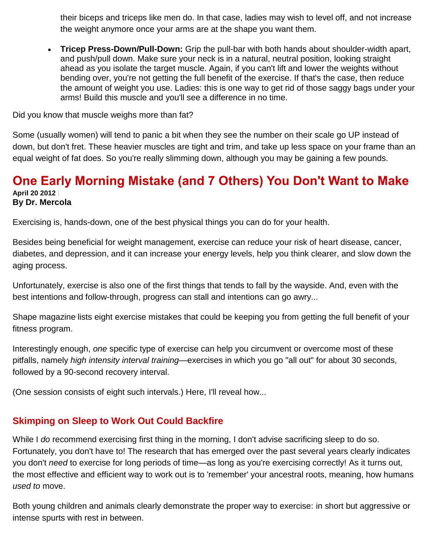their biceps and triceps like men do. In that case, ladies may wish to level off, and not increase the weight anymore once your arms are at the shape you want them.

 **Tricep Press-Down/Pull-Down:** Grip the pull-bar with both hands about shoulder-width apart, and push/pull down. Make sure your neck is in a natural, neutral position, looking straight ahead as you isolate the target muscle. Again, if you can't lift and lower the weights without bending over, you're not getting the full benefit of the exercise. If that's the case, then reduce the amount of weight you use. Ladies: this is one way to get rid of those saggy bags under your arms! Build this muscle and you'll see a difference in no time.

Did you know that muscle weighs more than fat?

Some (usually women) will tend to panic a bit when they see the number on their scale go UP instead of down, but don't fret. These heavier muscles are tight and trim, and take up less space on your frame than an equal weight of fat does. So you're really slimming down, although you may be gaining a few pounds.

#### **One Early Morning Mistake (and 7 Others) You Don't Want to Make April 20 2012 | By Dr. Mercola**

Exercising is, hands-down, one of the best physical things you can do for your health.

Besides being beneficial for weight management, exercise can reduce your risk of heart disease, cancer, diabetes, and depression, and it can increase your energy levels, help you think clearer, and slow down the aging process.

Unfortunately, exercise is also one of the first things that tends to fall by the wayside. And, even with the best intentions and follow-through, progress can stall and intentions can go awry...

Shape magazinei [l](http://fitness.mercola.com/sites/fitness/archive/2012/04/20/interval-training-overcomes-workout-pitfalls.aspx#_edn1)ists eight exercise mistakes that could be keeping you from getting the full benefit of your fitness program.

Interestingly enough, *one* specific type of exercise can help you circumvent or overcome most of these pitfalls, namely *high intensity interval training*—exercises in which you go "all out" for about 30 seconds, followed by a 90-second recovery interval.

(One session consists of eight such intervals.) Here, I'll reveal how...

## **Skimping on Sleep to Work Out Could Backfire**

While I *do* recommend exercising first thing in the morning, I don't advise sacrificing sleep to do so. Fortunately, you don't have to! The research that has emerged over the past several years clearly indicates you don't *need* to exercise for long periods of time—as long as you're exercising correctly! As it turns out, the most effective and efficient way to work out is to 'remember' your ancestral roots, meaning, how humans *used to* move.

Both young children and animals clearly demonstrate the proper way to exercise: in short but aggressive or intense spurts with rest in between.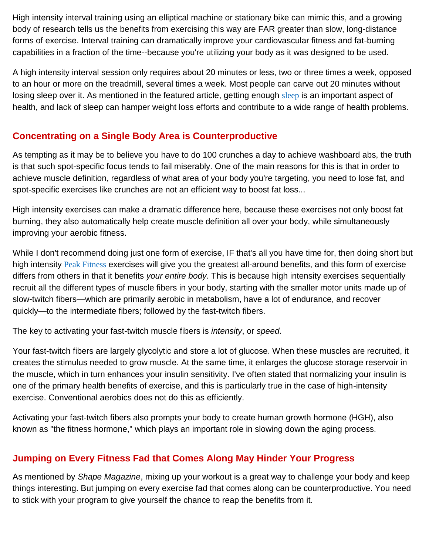High intensity interval training using an elliptical machine or stationary bike can mimic this, and a growing body of research tells us the benefits from exercising this way are FAR greater than slow, long-distance forms of exercise. Interval training can dramatically improve your cardiovascular fitness and fat-burning capabilities in a fraction of the time--because you're utilizing your body as it was designed to be used.

A high intensity interval session only requires about 20 minutes or less, two or three times a week, opposed to an hour or more on the treadmill, several times a week. Most people can carve out 20 minutes without losing [sleep](http://sleep.mercola.com/) over it. As mentioned in the featured article, getting enough sleep is an important aspect of health, and lack of sleep can hamper weight loss efforts and contribute to a wide range of health problems.

# **Concentrating on a Single Body Area is Counterproductive**

As tempting as it may be to believe you have to do 100 crunches a day to achieve washboard abs, the truth is that such spot-specific focus tends to fail miserably. One of the main reasons for this is that in order to achieve muscle definition, regardless of what area of your body you're targeting, you need to lose fat, and spot-specific exercises like crunches are not an efficient way to boost fat loss...

High intensity exercises can make a dramatic difference here, because these exercises not only boost fat burning, they also automatically help create muscle definition all over your body, while simultaneously improving your aerobic fitness.

While I don't recommend doing just one form of exercise, IF that's all you have time for, then doing short but high intensity [Peak Fitness](http://fitness.mercola.com/sites/fitness/archive/2010/06/26/10-minutes-of-exercise-yields-hourlong-effects.aspx) exercises will give you the greatest all-around benefits, and this form of exercise differs from others in that it benefits *your entire body*. This is because high intensity exercises sequentially recruit all the different types of muscle fibers in your body, starting with the smaller motor units made up of slow-twitch fibers—which are primarily aerobic in metabolism, have a lot of endurance, and recover quickly—to the intermediate fibers; followed by the fast-twitch fibers.

The key to activating your fast-twitch muscle fibers is *intensity*, or *speed*.

Your fast-twitch fibers are largely glycolytic and store a lot of glucose. When these muscles are recruited, it creates the stimulus needed to grow muscle. At the same time, it enlarges the glucose storage reservoir in the muscle, which in turn enhances your insulin sensitivity. I've often stated that normalizing your insulin is one of the primary health benefits of exercise, and this is particularly true in the case of high-intensity exercise. Conventional aerobics does not do this as efficiently.

Activating your fast-twitch fibers also prompts your body to create human growth hormone (HGH), also known as "the fitness hormone," which plays an important role in slowing down the aging process.

## **Jumping on Every Fitness Fad that Comes Along May Hinder Your Progress**

As mentioned by *Shape Magazine*, mixing up your workout is a great way to challenge your body and keep things interesting. But jumping on every exercise fad that comes along can be counterproductive. You need to stick with your program to give yourself the chance to reap the benefits from it.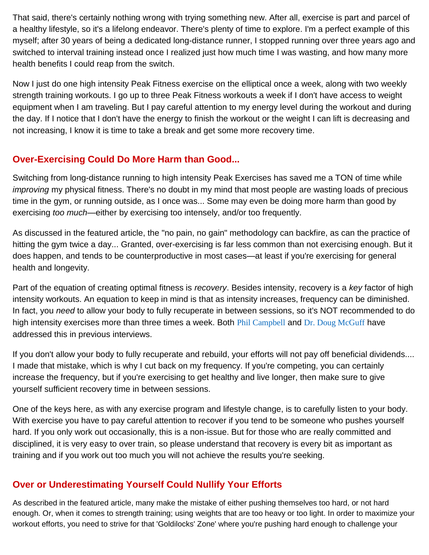That said, there's certainly nothing wrong with trying something new. After all, exercise is part and parcel of a healthy lifestyle, so it's a lifelong endeavor. There's plenty of time to explore. I'm a perfect example of this myself; after 30 years of being a dedicated long-distance runner, I stopped running over three years ago and switched to interval training instead once I realized just how much time I was wasting, and how many more health benefits I could reap from the switch.

Now I just do one high intensity Peak Fitness exercise on the elliptical once a week, along with two weekly strength training workouts. I go up to three Peak Fitness workouts a week if I don't have access to weight equipment when I am traveling. But I pay careful attention to my energy level during the workout and during the day. If I notice that I don't have the energy to finish the workout or the weight I can lift is decreasing and not increasing, I know it is time to take a break and get some more recovery time.

## **Over-Exercising Could Do More Harm than Good...**

Switching from long-distance running to high intensity Peak Exercises has saved me a TON of time while *improving* my physical fitness. There's no doubt in my mind that most people are wasting loads of precious time in the gym, or running outside, as I once was... Some may even be doing more harm than good by exercising *too much*—either by exercising too intensely, and/or too frequently.

As discussed in the featured article, the "no pain, no gain" methodology can backfire, as can the practice of hitting the gym twice a day... Granted, over-exercising is far less common than not exercising enough. But it does happen, and tends to be counterproductive in most cases—at least if you're exercising for general health and longevity.

Part of the equation of creating optimal fitness is *recovery*. Besides intensity, recovery is a *key* factor of high intensity workouts. An equation to keep in mind is that as intensity increases, frequency can be diminished. In fact, you *need* to allow your body to fully recuperate in between sessions, so it's NOT recommended to do high intensity exercises more than three times a week. Both [Phil Campbell](http://fitness.mercola.com/sites/fitness/archive/2010/11/13/phil-campbell-on-peak-8-exercises.aspx) and [Dr. Doug McGuff](http://fitness.mercola.com/sites/fitness/archive/2012/01/06/dr-doug-mcguff-on-exercise.aspx) have addressed this in previous interviews.

If you don't allow your body to fully recuperate and rebuild, your efforts will not pay off beneficial dividends.... I made that mistake, which is why I cut back on my frequency. If you're competing, you can certainly increase the frequency, but if you're exercising to get healthy and live longer, then make sure to give yourself sufficient recovery time in between sessions.

One of the keys here, as with any exercise program and lifestyle change, is to carefully listen to your body. With exercise you have to pay careful attention to recover if you tend to be someone who pushes yourself hard. If you only work out occasionally, this is a non-issue. But for those who are really committed and disciplined, it is very easy to over train, so please understand that recovery is every bit as important as training and if you work out too much you will not achieve the results you're seeking.

# **Over or Underestimating Yourself Could Nullify Your Efforts**

As described in the featured article, many make the mistake of either pushing themselves too hard, or not hard enough. Or, when it comes to strength training; using weights that are too heavy or too light. In order to maximize your workout efforts, you need to strive for that 'Goldilocks' Zone' where you're pushing hard enough to challenge your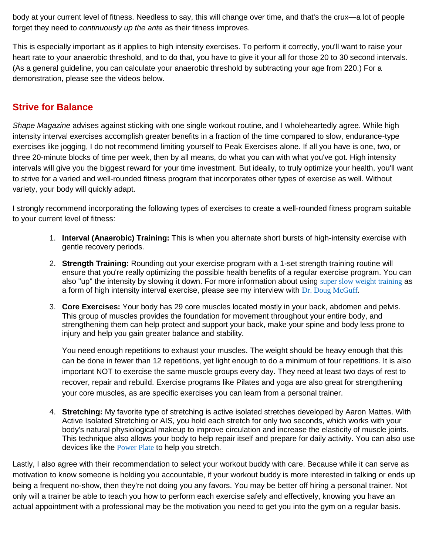body at your current level of fitness. Needless to say, this will change over time, and that's the crux—a lot of people forget they need to *continuously up the ante* as their fitness improves.

This is especially important as it applies to high intensity exercises. To perform it correctly, you'll want to raise your heart rate to your anaerobic threshold, and to do that, you have to give it your all for those 20 to 30 second intervals. (As a general guideline, you can calculate your anaerobic threshold by subtracting your age from 220.) For a demonstration, please see the videos below.

#### **Strive for Balance**

*Shape Magazine* advises against sticking with one single workout routine, and I wholeheartedly agree. While high intensity interval exercises accomplish greater benefits in a fraction of the time compared to slow, endurance-type exercises like jogging, I do not recommend limiting yourself to Peak Exercises alone. If all you have is one, two, or three 20-minute blocks of time per week, then by all means, do what you can with what you've got. High intensity intervals will give you the biggest reward for your time investment. But ideally, to truly optimize your health, you'll want to strive for a varied and well-rounded fitness program that incorporates other types of exercise as well. Without variety, your body will quickly adapt.

I strongly recommend incorporating the following types of exercises to create a well-rounded fitness program suitable to your current level of fitness:

- 1. **Interval (Anaerobic) Training:** This is when you alternate short bursts of high-intensity exercise with gentle recovery periods.
- 2. **Strength Training:** Rounding out your exercise program with a 1-set strength training routine will ensure that you're really optimizing the possible health benefits of a regular exercise program. You can also "up" the intensity by slowing it down. For more information about using [super slow weight training](http://fitness.mercola.com/sites/fitness/archive/2012/01/06/dr-doug-mcguff-on-exercise.aspx) as a form of high intensity interval exercise, please see my interview with [Dr. Doug McGuff](http://fitness.mercola.com/sites/fitness/archive/2012/01/06/dr-doug-mcguff-on-exercise.aspx).
- 3. **Core Exercises:** Your body has 29 core muscles located mostly in your back, abdomen and pelvis. This group of muscles provides the foundation for movement throughout your entire body, and strengthening them can help protect and support your back, make your spine and body less prone to injury and help you gain greater balance and stability.

You need enough repetitions to exhaust your muscles. The weight should be heavy enough that this can be done in fewer than 12 repetitions, yet light enough to do a minimum of four repetitions. It is also important NOT to exercise the same muscle groups every day. They need at least two days of rest to recover, repair and rebuild. Exercise programs like Pilates and yoga are also great for strengthening your core muscles, as are specific exercises you can learn from a personal trainer.

4. **Stretching:** My favorite type of stretching is active isolated stretches developed by Aaron Mattes. With Active Isolated Stretching or AIS, you hold each stretch for only two seconds, which works with your body's natural physiological makeup to improve circulation and increase the elasticity of muscle joints. This technique also allows your body to help repair itself and prepare for daily activity. You can also use devices like the [Power Plate](http://fitness.mercola.com/sites/fitness/archive/2011/03/08/power-plate-the-ultimate-whole-body-workout.aspx) to help you stretch.

Lastly, I also agree with their recommendation to select your workout buddy with care. Because while it can serve as motivation to know someone is holding you accountable, if your workout buddy is more interested in talking or ends up being a frequent no-show, then they're not doing you any favors. You may be better off hiring a personal trainer. Not only will a trainer be able to teach you how to perform each exercise safely and effectively, knowing you have an actual appointment with a professional may be the motivation you need to get you into the gym on a regular basis.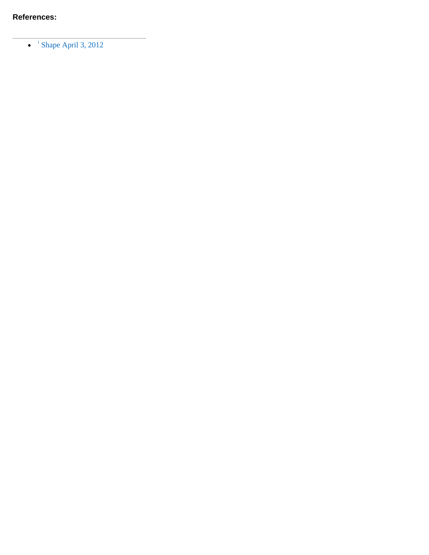$\bullet$  <sup>[i](http://fitness.mercola.com/sites/fitness/archive/2012/04/20/interval-training-overcomes-workout-pitfalls.aspx#_ednref1)</sup> [Shape April 3, 2012](http://www.shapemag.co.za/fitness/8-workout-strategies-that-can-backfire/)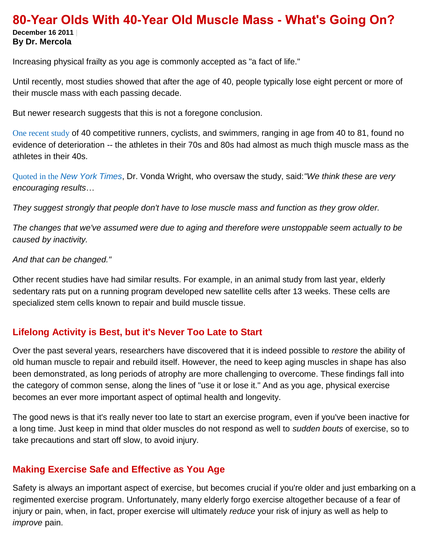#### **80-Year Olds With 40-Year Old Muscle Mass - What's Going On? December 16 2011 | By Dr. Mercola**

Increasing physical frailty as you age is commonly accepted as "a fact of life."

Until recently, most studies showed that after the age of 40, people typically lose eight percent or more of their muscle mass with each passing decade.

But newer research suggests that this is not a foregone conclusion.

[One recent study](http://www.ncbi.nlm.nih.gov/pubmed/22030953) of 40 competitive runners, cyclists, and swimmers, ranging in age from 40 to 81, found no evidence of deterioration -- the athletes in their 70s and 80s had almost as much thigh muscle mass as the athletes in their 40s.

Quoted in the *[New York Times](http://well.blogs.nytimes.com/2011/11/09/aging-well-through-exercise/)*, Dr. Vonda Wright, who oversaw the study, said:*"We think these are very encouraging results*…

*They suggest strongly that people don't have to lose muscle mass and function as they grow older.*

*The changes that we've assumed were due to aging and therefore were unstoppable seem actually to be caused by inactivity.*

*And that can be changed."*

Other recent studies have had similar results. For example, in an animal study from last year, elderly sedentary rats put on a running program developed new satellite cells after 13 weeks. These cells are specialized stem cells known to repair and build muscle tissue.

#### **Lifelong Activity is Best, but it's Never Too Late to Start**

Over the past several years, researchers have discovered that it is indeed possible to *restore* the ability of old human muscle to repair and rebuild itself. However, the need to keep aging muscles in shape has also been demonstrated, as long periods of atrophy are more challenging to overcome. These findings fall into the category of common sense, along the lines of "use it or lose it." And as you age, physical exercise becomes an ever more important aspect of optimal health and longevity.

The good news is that it's really never too late to start an exercise program, even if you've been inactive for a long time. Just keep in mind that older muscles do not respond as well to *sudden bouts* of exercise, so to take precautions and start off slow, to avoid injury.

## **Making Exercise Safe and Effective as You Age**

Safety is always an important aspect of exercise, but becomes crucial if you're older and just embarking on a regimented exercise program. Unfortunately, many elderly forgo exercise altogether because of a fear of injury or pain, when, in fact, proper exercise will ultimately *reduce* your risk of injury as well as help to *improve* pain.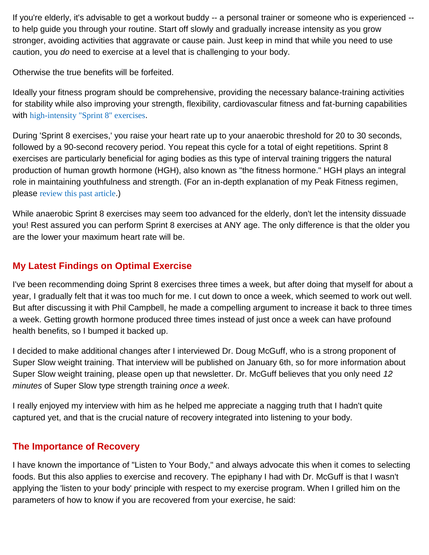If you're elderly, it's advisable to get a workout buddy -- a personal trainer or someone who is experienced - to help guide you through your routine. Start off slowly and gradually increase intensity as you grow stronger, avoiding activities that aggravate or cause pain. Just keep in mind that while you need to use caution, you *do* need to exercise at a level that is challenging to your body.

Otherwise the true benefits will be forfeited.

Ideally your fitness program should be comprehensive, providing the necessary balance-training activities for stability while also improving your strength, flexibility, cardiovascular fitness and fat-burning capabilities with [high-intensity "Sprint 8" exercises](http://fitness.mercola.com/sites/fitness/archive/2010/11/13/phil-campbell-on-peak-8-exercises.aspx).

During 'Sprint 8 exercises,' you raise your heart rate up to your anaerobic threshold for 20 to 30 seconds, followed by a 90-second recovery period. You repeat this cycle for a total of eight repetitions. Sprint 8 exercises are particularly beneficial for aging bodies as this type of interval training triggers the natural production of human growth hormone (HGH), also known as "the fitness hormone." HGH plays an integral role in maintaining youthfulness and strength. (For an in-depth explanation of my Peak Fitness regimen, please [review this past article](http://fitness.mercola.com/sites/fitness/archive/2010/06/26/10-minutes-of-exercise-yields-hourlong-effects.aspx).)

While anaerobic Sprint 8 exercises may seem too advanced for the elderly, don't let the intensity dissuade you! Rest assured you can perform Sprint 8 exercises at ANY age. The only difference is that the older you are the lower your maximum heart rate will be.

# **My Latest Findings on Optimal Exercise**

I've been recommending doing Sprint 8 exercises three times a week, but after doing that myself for about a year, I gradually felt that it was too much for me. I cut down to once a week, which seemed to work out well. But after discussing it with Phil Campbell, he made a compelling argument to increase it back to three times a week. Getting growth hormone produced three times instead of just once a week can have profound health benefits, so I bumped it backed up.

I decided to make additional changes after I interviewed Dr. Doug McGuff, who is a strong proponent of Super Slow weight training. That interview will be published on January 6th, so for more information about Super Slow weight training, please open up that newsletter. Dr. McGuff believes that you only need *12 minutes* of Super Slow type strength training *once a week*.

I really enjoyed my interview with him as he helped me appreciate a nagging truth that I hadn't quite captured yet, and that is the crucial nature of recovery integrated into listening to your body.

## **The Importance of Recovery**

I have known the importance of "Listen to Your Body," and always advocate this when it comes to selecting foods. But this also applies to exercise and recovery. The epiphany I had with Dr. McGuff is that I wasn't applying the 'listen to your body' principle with respect to my exercise program. When I grilled him on the parameters of how to know if you are recovered from your exercise, he said: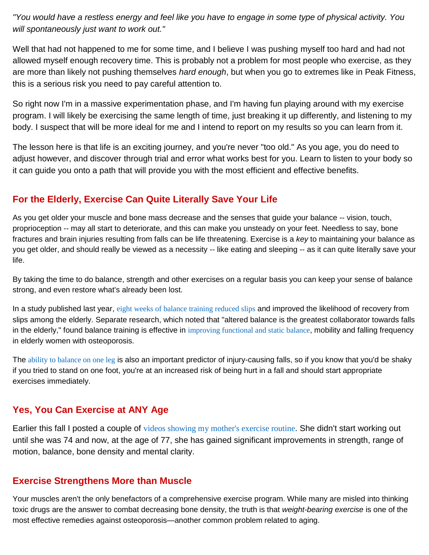*"You would have a restless energy and feel like you have to engage in some type of physical activity. You will spontaneously just want to work out."*

Well that had not happened to me for some time, and I believe I was pushing myself too hard and had not allowed myself enough recovery time. This is probably not a problem for most people who exercise, as they are more than likely not pushing themselves *hard enough*, but when you go to extremes like in Peak Fitness, this is a serious risk you need to pay careful attention to.

So right now I'm in a massive experimentation phase, and I'm having fun playing around with my exercise program. I will likely be exercising the same length of time, just breaking it up differently, and listening to my body. I suspect that will be more ideal for me and I intend to report on my results so you can learn from it.

The lesson here is that life is an exciting journey, and you're never "too old." As you age, you do need to adjust however, and discover through trial and error what works best for you. Learn to listen to your body so it can guide you onto a path that will provide you with the most efficient and effective benefits.

#### **For the Elderly, Exercise Can Quite Literally Save Your Life**

As you get older your muscle and bone mass decrease and the senses that guide your balance -- vision, touch, proprioception -- may all start to deteriorate, and this can make you unsteady on your feet. Needless to say, bone fractures and brain injuries resulting from falls can be life threatening. Exercise is a *key* to maintaining your balance as you get older, and should really be viewed as a necessity -- like eating and sleeping -- as it can quite literally save your life.

By taking the time to do balance, strength and other exercises on a regular basis you can keep your sense of balance strong, and even restore what's already been lost.

In a study published last year, [eight weeks of balance training reduced slips](http://journals.lww.com/intjrehabilres/Abstract/2010/03000/Effects_of_8_weeks_of_balance_or_weight_training.8.aspx) and improved the likelihood of recovery from slips among the elderly. Separate research, which noted that "altered balance is the greatest collaborator towards falls in the elderly," found balance training is effective in [improving functional and static balance](http://www.ncbi.nlm.nih.gov/pmc/articles/PMC1820755/), mobility and falling frequency in elderly women with osteoporosis.

The [ability to balance on one leg](http://www.ncbi.nlm.nih.gov/pubmed/9180669) is also an important predictor of injury-causing falls, so if you know that you'd be shaky if you tried to stand on one foot, you're at an increased risk of being hurt in a fall and should start appropriate exercises immediately.

#### **Yes, You Can Exercise at ANY Age**

Earlier this fall I posted a couple of [videos showing my mother's exercise routine](http://fitness.mercola.com/sites/fitness/archive/2011/09/30/you-are-never-too-old-to-start-exercising.aspx). She didn't start working out until she was 74 and now, at the age of 77, she has gained significant improvements in strength, range of motion, balance, bone density and mental clarity.

#### **Exercise Strengthens More than Muscle**

Your muscles aren't the only benefactors of a comprehensive exercise program. While many are misled into thinking toxic drugs are the answer to combat decreasing bone density, the truth is that *weight-bearing exercise* is one of the most effective remedies against osteoporosis—another common problem related to aging.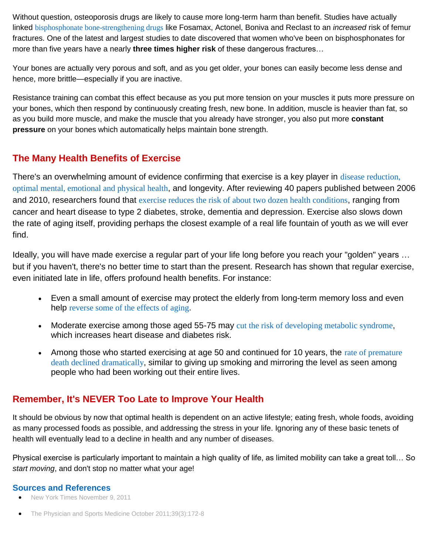Without question, osteoporosis drugs are likely to cause more long-term harm than benefit. Studies have actually linked [bisphosphonate bone-strengthening drugs](http://articles.mercola.com/sites/articles/archive/2011/03/15/bone-strengthening-drugs-actually-cause-fractures.aspx) like Fosamax, Actonel, Boniva and Reclast to an *increased* risk of femur fractures. One of the latest and largest studies to date discovered that women who've been on bisphosphonates for more than five years have a nearly **three times higher risk** of these dangerous fractures…

Your bones are actually very porous and soft, and as you get older, your bones can easily become less dense and hence, more brittle—especially if you are inactive.

Resistance training can combat this effect because as you put more tension on your muscles it puts more pressure on your bones, which then respond by continuously creating fresh, new bone. In addition, muscle is heavier than fat, so as you build more muscle, and make the muscle that you already have stronger, you also put more **constant pressure** on your bones which automatically helps maintain bone strength.

#### **The Many Health Benefits of Exercise**

There's an overwhelming amount of evidence confirming that exercise is a key player in [disease reduction,](http://fitness.mercola.com/sites/fitness/archive/2010/12/09/regular-exercise-reduces-large-number-of-health-risks.aspx)  [optimal mental, emotional and physical health](http://fitness.mercola.com/sites/fitness/archive/2010/12/09/regular-exercise-reduces-large-number-of-health-risks.aspx), and longevity. After reviewing 40 papers published between 2006 and 2010, researchers found that [exercise reduces the risk of about two dozen health conditions](http://fitness.mercola.com/sites/fitness/archive/2010/12/09/regular-exercise-reduces-large-number-of-health-risks.aspx), ranging from cancer and heart disease to type 2 diabetes, stroke, dementia and depression. Exercise also slows down the rate of aging itself, providing perhaps the closest example of a real life fountain of youth as we will ever find.

Ideally, you will have made exercise a regular part of your life long before you reach your "golden" years … but if you haven't, there's no better time to start than the present. Research has shown that regular exercise, even initiated late in life, offers profound health benefits. For instance:

- Even a small amount of exercise may protect the elderly from long-term memory loss and even help [reverse some of the effects of aging](http://www.jneurosci.org/content/31/32/11578.abstract).
- Moderate exercise among those aged 55-75 may [cut the risk of developing metabolic syndrome](http://www.bvsde.paho.org/bvsacd/cd41/kerry.pdf), which increases heart disease and diabetes risk.
- Among those who started exercising at age 50 and continued for 10 years, the [rate of premature](http://www.ncbi.nlm.nih.gov/pubmed/19264819)  [death declined dramatically](http://www.ncbi.nlm.nih.gov/pubmed/19264819), similar to giving up smoking and mirroring the level as seen among people who had been working out their entire lives.

## **Remember, It's NEVER Too Late to Improve Your Health**

It should be obvious by now that optimal health is dependent on an active lifestyle; eating fresh, whole foods, avoiding as many processed foods as possible, and addressing the stress in your life. Ignoring any of these basic tenets of health will eventually lead to a decline in health and any number of diseases.

Physical exercise is particularly important to maintain a high quality of life, as limited mobility can take a great toll… So *start moving*, and don't stop no matter what your age!

#### **Sources and References**

- [New York Times November 9, 2011](http://well.blogs.nytimes.com/2011/11/09/aging-well-through-exercise/)
- [The Physician and Sports Medicine October 2011;39\(3\):172-8](http://www.ncbi.nlm.nih.gov/pubmed/22030953)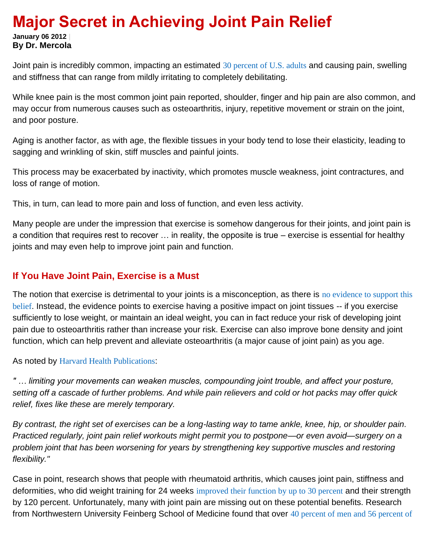# **Major Secret in Achieving Joint Pain Relief**

**January 06 2012 | By Dr. Mercola**

Joint pain is incredibly common, impacting an estimated [30 percent of U.S. adults](http://www.cdc.gov/Features/dsJointPain/) and causing pain, swelling and stiffness that can range from mildly irritating to completely debilitating.

While knee pain is the most common joint pain reported, shoulder, finger and hip pain are also common, and may occur from numerous causes such as osteoarthritis, injury, repetitive movement or strain on the joint, and poor posture.

Aging is another factor, as with age, the flexible tissues in your body tend to lose their elasticity, leading to sagging and wrinkling of skin, stiff muscles and painful joints.

This process may be exacerbated by inactivity, which promotes muscle weakness, joint contractures, and loss of range of motion.

This, in turn, can lead to more pain and loss of function, and even less activity.

Many people are under the impression that exercise is somehow dangerous for their joints, and joint pain is a condition that requires rest to recover … in reality, the opposite is true – exercise is essential for healthy joints and may even help to improve joint pain and function.

#### **If You Have Joint Pain, Exercise is a Must**

The notion that exercise is detrimental to your joints is a misconception, as there is no evidence to support this [belief](http://articles.mercola.com/sites/articles/archive/2009/02/19/exercise-poses-no-danger-to-your-joints.aspx). Instead, the evidence points to exercise having a positive impact on joint tissues -- if you exercise sufficiently to lose weight, or maintain an ideal weight, you can in fact reduce your risk of developing joint pain due to osteoarthritis rather than increase your risk. Exercise can also improve bone density and joint function, which can help prevent and alleviate osteoarthritis (a major cause of joint pain) as you age.

As noted by [Harvard Health Publications](http://www.health.harvard.edu/healthbeat/the-secret-to-joint-pain-relief-exercise?e=mkester%40nci.com&j=28081960&l=16278673_HTML&mid=148797&u=323662523&jb=0):

*" … limiting your movements can weaken muscles, compounding joint trouble, and affect your posture, setting off a cascade of further problems. And while pain relievers and cold or hot packs may offer quick relief, fixes like these are merely temporary.*

*By contrast, the right set of exercises can be a long-lasting way to tame ankle, knee, hip, or shoulder pain. Practiced regularly, joint pain relief workouts might permit you to postpone—or even avoid—surgery on a problem joint that has been worsening for years by strengthening key supportive muscles and restoring flexibility."*

Case in point, research shows that people with rheumatoid arthritis, which causes joint pain, stiffness and deformities, who did weight training for 24 weeks [improved their function by up to 30 percent](http://www.ncbi.nlm.nih.gov/pubmed/19950325) and their strength by 120 percent. Unfortunately, many with joint pain are missing out on these potential benefits. Research from Northwestern University Feinberg School of Medicine found that over [40 percent of men and 56 percent of](http://www.ncbi.nlm.nih.gov/pubmed/21792835)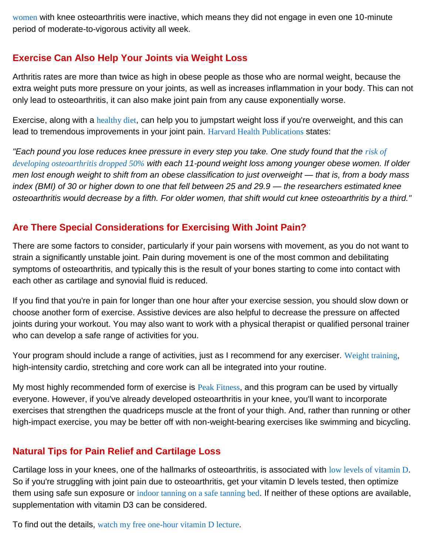[women](http://www.ncbi.nlm.nih.gov/pubmed/21792835) with knee osteoarthritis were inactive, which means they did not engage in even one 10-minute period of moderate-to-vigorous activity all week.

## **Exercise Can Also Help Your Joints via Weight Loss**

Arthritis rates are more than twice as high in obese people as those who are normal weight, because the extra weight puts more pressure on your joints, as well as increases inflammation in your body. This can not only lead to osteoarthritis, it can also make joint pain from any cause exponentially worse.

Exercise, along with a [healthy diet](http://www.mercola.com/nutritionplan/index.htm), can help you to jumpstart weight loss if you're overweight, and this can lead to tremendous improvements in your joint pain. [Harvard Health Publications](http://www.health.harvard.edu/healthbeat/the-secret-to-joint-pain-relief-exercise?e=mkester%40nci.com&j=28081960&l=16278673_HTML&mid=148797&u=323662523&jb=0) states:

*"Each pound you lose reduces knee pressure in every step you take. One study found that the risk of [developing osteoarthritis dropped 50%](http://www.ncbi.nlm.nih.gov/pubmed/1543306) with each 11-pound weight loss among younger obese women. If older men lost enough weight to shift from an obese classification to just overweight — that is, from a body mass index (BMI) of 30 or higher down to one that fell between 25 and 29.9 — the researchers estimated knee osteoarthritis would decrease by a fifth. For older women, that shift would cut knee osteoarthritis by a third."*

#### **Are There Special Considerations for Exercising With Joint Pain?**

There are some factors to consider, particularly if your pain worsens with movement, as you do not want to strain a significantly unstable joint. Pain during movement is one of the most common and debilitating symptoms of osteoarthritis, and typically this is the result of your bones starting to come into contact with each other as cartilage and synovial fluid is reduced.

If you find that you're in pain for longer than one hour after your exercise session, you should slow down or choose another form of exercise. Assistive devices are also helpful to decrease the pressure on affected joints during your workout. You may also want to work with a physical therapist or qualified personal trainer who can develop a safe range of activities for you.

Your program should include a range of activities, just as I recommend for any exerciser. [Weight training](http://fitness.mercola.com/sites/fitness/archive/2010/08/28/arthritis-patients-benefit-from-weight-training.aspx), high-intensity cardio, stretching and core work can all be integrated into your routine.

My most highly recommended form of exercise is [Peak Fitness](http://fitness.mercola.com/sites/fitness/archive/2010/06/26/10-minutes-of-exercise-yields-hourlong-effects.aspx), and this program can be used by virtually everyone. However, if you've already developed osteoarthritis in your knee, you'll want to incorporate exercises that strengthen the quadriceps muscle at the front of your thigh. And, rather than running or other high-impact exercise, you may be better off with non-weight-bearing exercises like swimming and bicycling.

#### **Natural Tips for Pain Relief and Cartilage Loss**

Cartilage loss in your knees, one of the hallmarks of osteoarthritis, is associated with [low levels of vitamin D](http://blogs.mercola.com/sites/vitalvotes/archive/2009/06/02/Vitamin-D-Prevents-Knee-Osteoarthritis.aspx). So if you're struggling with joint pain due to osteoarthritis, get your vitamin D levels tested, then optimize them using safe sun exposure or [indoor tanning on a safe tanning bed](http://articles.mercola.com/sites/articles/archive/2009/08/18/Are-Tanning-Beds-Really-as-Dangerous-as-Arsenic-and-Mustard-Gas.aspx). If neither of these options are available, supplementation with vitamin D3 can be considered.

To find out the details, [watch my free one-hour vitamin D lecture](http://articles.mercola.com/sites/articles/archive/2008/12/16/my-one-hour-vitamin-d-lecture-to-clear-up-all-your-confusion-on-this-vital-nutrient.aspx).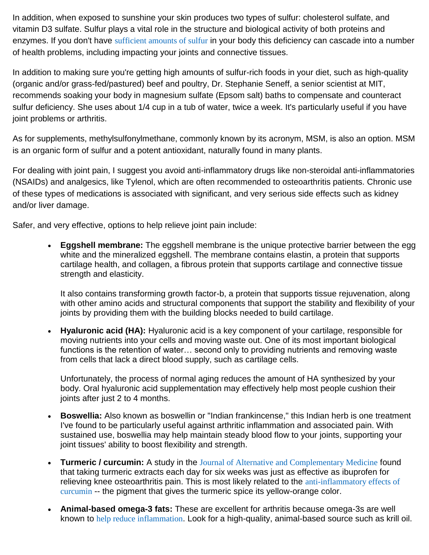In addition, when exposed to sunshine your skin produces two types of sulfur: cholesterol sulfate, and vitamin D3 sulfate. Sulfur plays a vital role in the structure and biological activity of both proteins and enzymes. If you don't have [sufficient amounts of sulfur](http://articles.mercola.com/sites/articles/archive/2011/09/17/stephanie-seneff-on-sulfur.aspx) in your body this deficiency can cascade into a number of health problems, including impacting your joints and connective tissues.

In addition to making sure you're getting high amounts of sulfur-rich foods in your diet, such as high-quality (organic and/or grass-fed/pastured) beef and poultry, Dr. Stephanie Seneff, a senior scientist at MIT, recommends soaking your body in magnesium sulfate (Epsom salt) baths to compensate and counteract sulfur deficiency. She uses about 1/4 cup in a tub of water, twice a week. It's particularly useful if you have joint problems or arthritis.

As for supplements, methylsulfonylmethane, commonly known by its acronym, MSM, is also an option. MSM is an organic form of sulfur and a potent antioxidant, naturally found in many plants.

For dealing with joint pain, I suggest you avoid anti-inflammatory drugs like non-steroidal anti-inflammatories (NSAIDs) and analgesics, like Tylenol, which are often recommended to osteoarthritis patients. Chronic use of these types of medications is associated with significant, and very serious side effects such as kidney and/or liver damage.

Safer, and very effective, options to help relieve joint pain include:

 **Eggshell membrane:** The eggshell membrane is the unique protective barrier between the egg white and the mineralized eggshell. The membrane contains elastin, a protein that supports cartilage health, and collagen, a fibrous protein that supports cartilage and connective tissue strength and elasticity.

It also contains transforming growth factor-b, a protein that supports tissue rejuvenation, along with other amino acids and structural components that support the stability and flexibility of your joints by providing them with the building blocks needed to build cartilage.

 **Hyaluronic acid (HA):** Hyaluronic acid is a key component of your cartilage, responsible for moving nutrients into your cells and moving waste out. One of its most important biological functions is the retention of water… second only to providing nutrients and removing waste from cells that lack a direct blood supply, such as cartilage cells.

Unfortunately, the process of normal aging reduces the amount of HA synthesized by your body. Oral hyaluronic acid supplementation may effectively help most people cushion their joints after just 2 to 4 months.

- **Boswellia:** Also known as boswellin or "Indian frankincense," this Indian herb is one treatment I've found to be particularly useful against arthritic inflammation and associated pain. With sustained use, boswellia may help maintain steady blood flow to your joints, supporting your joint tissues' ability to boost flexibility and strength.
- **Turmeric / curcumin:** A study in the [Journal of Alternative and Complementary Medicine](http://www.ncbi.nlm.nih.gov/pubmed/19678780) found that taking turmeric extracts each day for six weeks was just as effective as ibuprofen for relieving knee osteoarthritis pain. This is most likely related to the anti-inflammatory effects of [curcumin](http://articles.mercola.com/sites/articles/archive/2011/06/27/safe-and-effective--alternative-to-motrin-for-arthritis.aspx) -- the pigment that gives the turmeric spice its yellow-orange color.
- **Animal-based omega-3 fats:** These are excellent for arthritis because omega-3s are well known to [help reduce inflammation](http://articles.mercola.com/sites/articles/archive/2011/05/10/omega3-fats-shown-to-decrease-risk-of-dying-from-inflammatory-diseases.aspx). Look for a high-quality, animal-based source such as krill oil.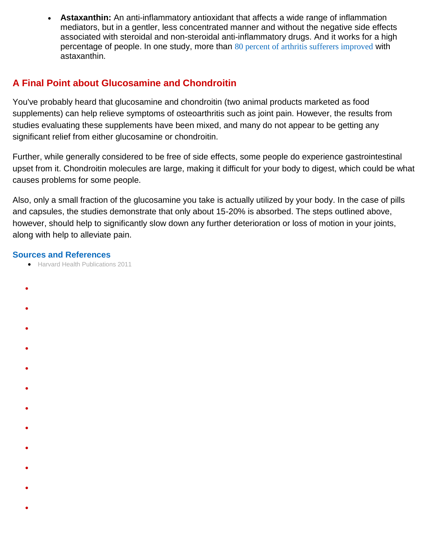**Astaxanthin:** An anti-inflammatory antioxidant that affects a wide range of inflammation mediators, but in a gentler, less concentrated manner and without the negative side effects associated with steroidal and non-steroidal anti-inflammatory drugs. And it works for a high percentage of people. In one study, more than [80 percent of arthritis sufferers improved](http://www.ncbi.nlm.nih.gov/pubmed/12727382) with astaxanthin.

## **A Final Point about Glucosamine and Chondroitin**

You've probably heard that glucosamine and chondroitin (two animal products marketed as food supplements) can help relieve symptoms of osteoarthritis such as joint pain. However, the results from studies evaluating these supplements have been mixed, and many do not appear to be getting any significant relief from either glucosamine or chondroitin.

Further, while generally considered to be free of side effects, some people do experience gastrointestinal upset from it. Chondroitin molecules are large, making it difficult for your body to digest, which could be what causes problems for some people.

Also, only a small fraction of the glucosamine you take is actually utilized by your body. In the case of pills and capsules, the studies demonstrate that only about 15-20% is absorbed. The steps outlined above, however, should help to significantly slow down any further deterioration or loss of motion in your joints, along with help to alleviate pain.

#### **Sources and References**

- [Harvard Health Publications 2011](http://www.health.harvard.edu/healthbeat/the-secret-to-joint-pain-relief-exercise?e=mkester%40nci.com&j=28081960&l=16278673_HTML&mid=148797&u=323662523&jb=0)
- $\bullet$
- 
- $\bullet$
- $\bullet$
- $\bullet$
- 
- $\bullet$
- $\bullet$
- $\bullet$
- $\bullet$
- 
- $\bullet$

 $\bullet$ 

- $\bullet$
- $\bullet$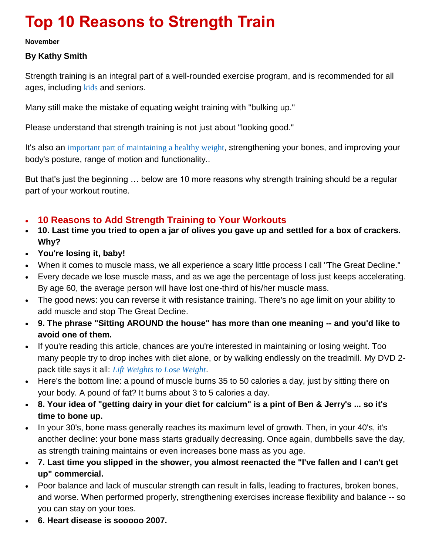# **Top 10 Reasons to Strength Train**

#### **November**

#### **By Kathy Smith**

Strength training is an integral part of a well-rounded exercise program, and is recommended for all ages, including [kids](http://fitness.mercola.com/sites/fitness/archive/2010/11/25/kids-benefit-from-strength-training.aspx) and seniors.

Many still make the mistake of equating weight training with "bulking up."

Please understand that strength training is not just about "looking good."

It's also an [important part of maintaining a healthy weight](http://fitness.mercola.com/sites/articles/archive/2009/09/12/10-Reasons-Why-Exercise-is-Good-for-Your-Weight.aspx), strengthening your bones, and improving your body's posture, range of motion and functionality..

But that's just the beginning … below are 10 more reasons why strength training should be a regular part of your workout routine.

## **10 Reasons to Add Strength Training to Your Workouts**

- **10. Last time you tried to open a jar of olives you gave up and settled for a box of crackers. Why?**
- **You're losing it, baby!**
- When it comes to muscle mass, we all experience a scary little process I call "The Great Decline."
- Every decade we lose muscle mass, and as we age the percentage of loss just keeps accelerating. By age 60, the average person will have lost one-third of his/her muscle mass.
- The good news: you can reverse it with resistance training. There's no age limit on your ability to add muscle and stop The Great Decline.
- **9. The phrase "Sitting AROUND the house" has more than one meaning -- and you'd like to avoid one of them.**
- If you're reading this article, chances are you're interested in maintaining or losing weight. Too many people try to drop inches with diet alone, or by walking endlessly on the treadmill. My DVD 2 pack title says it all: *[Lift Weights to Lose Weight](http://www.kathysmith.com/s/kathy-smith/lift-weight-to-lose-weight)*.
- Here's the bottom line: a pound of muscle burns 35 to 50 calories a day, just by sitting there on your body. A pound of fat? It burns about 3 to 5 calories a day.
- **8. Your idea of "getting dairy in your diet for calcium" is a pint of Ben & Jerry's ... so it's time to bone up.**
- In your 30's, bone mass generally reaches its maximum level of growth. Then, in your 40's, it's another decline: your bone mass starts gradually decreasing. Once again, dumbbells save the day, as strength training maintains or even increases bone mass as you age.
- **7. Last time you slipped in the shower, you almost reenacted the "I've fallen and I can't get up" commercial.**
- Poor balance and lack of muscular strength can result in falls, leading to fractures, broken bones, and worse. When performed properly, strengthening exercises increase flexibility and balance -- so you can stay on your toes.
- **6. Heart disease is sooooo 2007.**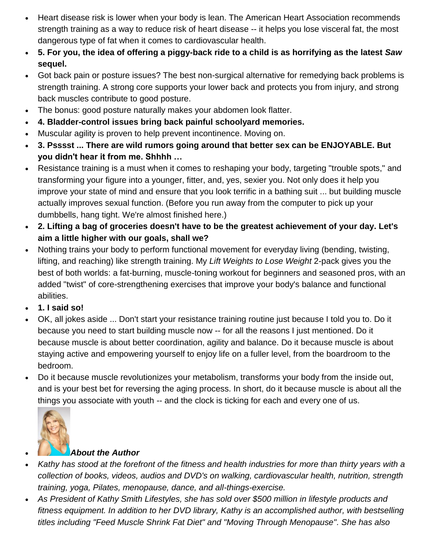- Heart disease risk is lower when your body is lean. The American Heart Association recommends strength training as a way to reduce risk of heart disease -- it helps you lose visceral fat, the most dangerous type of fat when it comes to cardiovascular health.
- **5. For you, the idea of offering a piggy-back ride to a child is as horrifying as the latest** *Saw* **sequel.**
- Got back pain or posture issues? The best non-surgical alternative for remedying back problems is strength training. A strong core supports your lower back and protects you from injury, and strong back muscles contribute to good posture.
- The bonus: good posture naturally makes your abdomen look flatter.
- **4. Bladder-control issues bring back painful schoolyard memories.**
- Muscular agility is proven to help prevent incontinence. Moving on.
- **3. Psssst ... There are wild rumors going around that better sex can be ENJOYABLE. But you didn't hear it from me. Shhhh …**
- Resistance training is a must when it comes to reshaping your body, targeting "trouble spots," and transforming your figure into a younger, fitter, and, yes, sexier you. Not only does it help you improve your state of mind and ensure that you look terrific in a bathing suit ... but building muscle actually improves sexual function. (Before you run away from the computer to pick up your dumbbells, hang tight. We're almost finished here.)
- **2. Lifting a bag of groceries doesn't have to be the greatest achievement of your day. Let's aim a little higher with our goals, shall we?**
- Nothing trains your body to perform functional movement for everyday living (bending, twisting, lifting, and reaching) like strength training. My *Lift Weights to Lose Weight* 2-pack gives you the best of both worlds: a fat-burning, muscle-toning workout for beginners and seasoned pros, with an added "twist" of core-strengthening exercises that improve your body's balance and functional abilities.
- **1. I said so!**
- OK, all jokes aside ... Don't start your resistance training routine just because I told you to. Do it because you need to start building muscle now -- for all the reasons I just mentioned. Do it because muscle is about better coordination, agility and balance. Do it because muscle is about staying active and empowering yourself to enjoy life on a fuller level, from the boardroom to the bedroom.
- Do it because muscle revolutionizes your metabolism, transforms your body from the inside out, and is your best bet for reversing the aging process. In short, do it because muscle is about all the things you associate with youth -- and the clock is ticking for each and every one of us.



#### *About the Author*

- *Kathy has stood at the forefront of the fitness and health industries for more than thirty years with a collection of books, videos, audios and DVD's on walking, cardiovascular health, nutrition, strength training, yoga, Pilates, menopause, dance, and all-things-exercise.*
- *As President of Kathy Smith Lifestyles, she has sold over \$500 million in lifestyle products and fitness equipment. In addition to her DVD library, Kathy is an accomplished author, with bestselling titles including "Feed Muscle Shrink Fat Diet" and "Moving Through Menopause". She has also*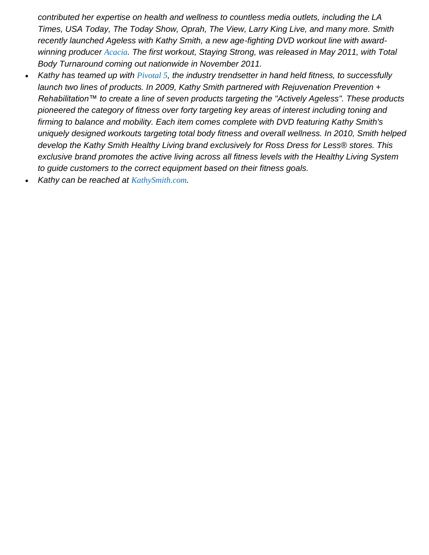*contributed her expertise on health and wellness to countless media outlets, including the LA Times, USA Today, The Today Show, Oprah, The View, Larry King Live, and many more. Smith recently launched Ageless with Kathy Smith, a new age-fighting DVD workout line with awardwinning producer [Acacia](http://www.acacialifestyle.com/). The first workout, Staying Strong, was released in May 2011, with Total Body Turnaround coming out nationwide in November 2011.* 

- *Kathy has teamed up with [Pivotal 5](http://www.pivotal5.com/), the industry trendsetter in hand held fitness, to successfully launch two lines of products. In 2009, Kathy Smith partnered with Rejuvenation Prevention + Rehabilitation™ to create a line of seven products targeting the "Actively Ageless". These products pioneered the category of fitness over forty targeting key areas of interest including toning and firming to balance and mobility. Each item comes complete with DVD featuring Kathy Smith's uniquely designed workouts targeting total body fitness and overall wellness. In 2010, Smith helped develop the Kathy Smith Healthy Living brand exclusively for Ross Dress for Less® stores. This exclusive brand promotes the active living across all fitness levels with the Healthy Living System to guide customers to the correct equipment based on their fitness goals.*
- *Kathy can be reached at [KathySmith.com](http://www.kathysmith.com/).*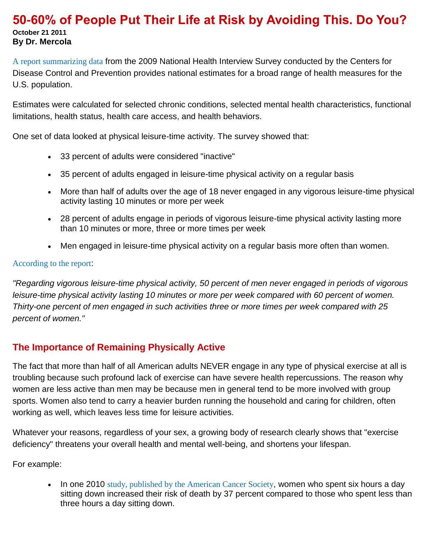#### **50-60% of People Put Their Life at Risk by Avoiding This. Do You? October 21 2011 By Dr. Mercola**

[A report summarizing data](http://www.cdc.gov/nchs/data/series/sr_10/sr10_249.pdf) from the 2009 National Health Interview Survey conducted by the Centers for Disease Control and Prevention provides national estimates for a broad range of health measures for the U.S. population.

Estimates were calculated for selected chronic conditions, selected mental health characteristics, functional limitations, health status, health care access, and health behaviors.

One set of data looked at physical leisure-time activity. The survey showed that:

- 33 percent of adults were considered "inactive"
- 35 percent of adults engaged in leisure-time physical activity on a regular basis
- More than half of adults over the age of 18 never engaged in any vigorous leisure-time physical activity lasting 10 minutes or more per week
- 28 percent of adults engage in periods of vigorous leisure-time physical activity lasting more than 10 minutes or more, three or more times per week
- Men engaged in leisure-time physical activity on a regular basis more often than women.

#### [According to the report](http://www.cdc.gov/nchs/data/series/sr_10/sr10_249.pdf):

*"Regarding vigorous leisure-time physical activity, 50 percent of men never engaged in periods of vigorous leisure-time physical activity lasting 10 minutes or more per week compared with 60 percent of women. Thirty-one percent of men engaged in such activities three or more times per week compared with 25 percent of women."*

#### **The Importance of Remaining Physically Active**

The fact that more than half of all American adults NEVER engage in any type of physical exercise at all is troubling because such profound lack of exercise can have severe health repercussions. The reason why women are less active than men may be because men in general tend to be more involved with group sports. Women also tend to carry a heavier burden running the household and caring for children, often working as well, which leaves less time for leisure activities.

Whatever your reasons, regardless of your sex, a growing body of research clearly shows that "exercise deficiency" threatens your overall health and mental well-being, and shortens your lifespan.

For example:

• In one 2010 [study, published by the American Cancer Society](http://aje.oxfordjournals.org/content/172/4/419.abstract), women who spent six hours a day sitting down increased their risk of death by 37 percent compared to those who spent less than three hours a day sitting down.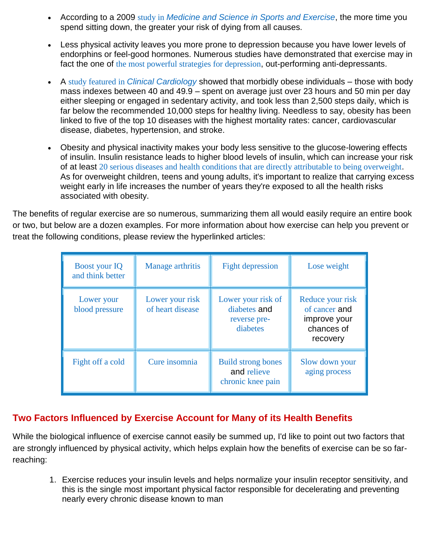- According to a 2009 study in *[Medicine and Science in Sports and Exercise](http://www.ncbi.nlm.nih.gov/pubmed/19346988)*, the more time you spend sitting down, the greater your risk of dying from all causes.
- Less physical activity leaves you more prone to depression because you have lower levels of endorphins or feel-good hormones. Numerous studies have demonstrated that exercise may in fact the one of [the most powerful strategies for depression](http://fitness.mercola.com/sites/fitness/archive/2010/07/10/is-exercise-the-best-drug-for-depression.aspx), out-performing anti-depressants.
- A study featured in *[Clinical Cardiology](http://www.ncbi.nlm.nih.gov/pubmed/19301295)* showed that morbidly obese individuals those with body mass indexes between 40 and 49.9 – spent on average just over 23 hours and 50 min per day either sleeping or engaged in sedentary activity, and took less than 2,500 steps daily, which is far below the recommended 10,000 steps for healthy living. Needless to say, obesity has been linked to five of the top 10 diseases with the highest mortality rates: cancer, cardiovascular disease, diabetes, hypertension, and stroke.
- Obesity and physical inactivity makes your body less sensitive to the glucose-lowering effects of insulin. Insulin resistance leads to higher blood levels of insulin, which can increase your risk of at least [20 serious diseases and health conditions that are directly attributable to being overweight](http://articles.mercola.com/sites/articles/archive/2008/09/02/20-diseases-and-conditions-directly-attributable-to-being-overweight.aspx). As for overweight children, teens and young adults, it's important to realize that carrying excess weight early in life increases the number of years they're exposed to all the health risks associated with obesity.

The benefits of regular exercise are so numerous, summarizing them all would easily require an entire book or two, but below are a dozen examples. For more information about how exercise can help you prevent or treat the following conditions, please review the hyperlinked articles:

| <b>Boost your IQ</b><br>and think better | Manage arthritis                    | <b>Fight depression</b>                                        | Lose weight                                                                 |
|------------------------------------------|-------------------------------------|----------------------------------------------------------------|-----------------------------------------------------------------------------|
| Lower your<br>blood pressure             | Lower your risk<br>of heart disease | Lower your risk of<br>diabetes and<br>reverse pre-<br>diabetes | Reduce your risk<br>of cancer and<br>improve your<br>chances of<br>recovery |
| Fight off a cold                         | Cure insomnia                       | <b>Build strong bones</b><br>and relieve<br>chronic knee pain  | Slow down your<br>aging process                                             |

## **Two Factors Influenced by Exercise Account for Many of its Health Benefits**

While the biological influence of exercise cannot easily be summed up, I'd like to point out two factors that are strongly influenced by physical activity, which helps explain how the benefits of exercise can be so farreaching:

1. Exercise reduces your insulin levels and helps normalize your insulin receptor sensitivity, and this is the single most important physical factor responsible for decelerating and preventing nearly every chronic disease known to man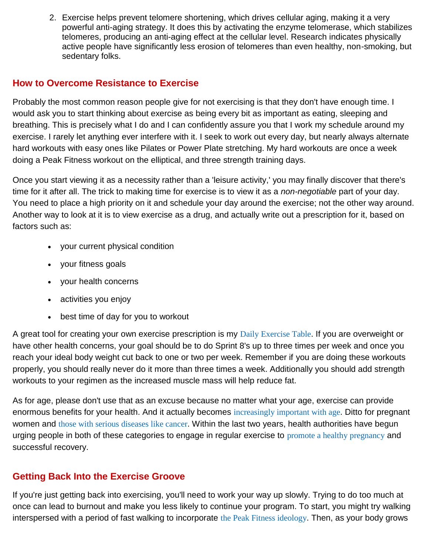2. Exercise helps prevent telomere shortening, which drives cellular aging, making it a very powerful anti-aging strategy. It does this by activating the enzyme telomerase, which stabilizes telomeres, producing an anti-aging effect at the cellular level. Research indicates physically active people have significantly less erosion of telomeres than even healthy, non-smoking, but sedentary folks.

## **How to Overcome Resistance to Exercise**

Probably the most common reason people give for not exercising is that they don't have enough time. I would ask you to start thinking about exercise as being every bit as important as eating, sleeping and breathing. This is precisely what I do and I can confidently assure you that I work my schedule around my exercise. I rarely let anything ever interfere with it. I seek to work out every day, but nearly always alternate hard workouts with easy ones like Pilates or Power Plate stretching. My hard workouts are once a week doing a Peak Fitness workout on the elliptical, and three strength training days.

Once you start viewing it as a necessity rather than a 'leisure activity,' you may finally discover that there's time for it after all. The trick to making time for exercise is to view it as a *non-negotiable* part of your day. You need to place a high priority on it and schedule your day around the exercise; not the other way around. Another way to look at it is to view exercise as a drug, and actually write out a prescription for it, based on factors such as:

- your current physical condition
- your fitness goals
- your health concerns
- activities you enjoy
- best time of day for you to workout

A great tool for creating your own exercise prescription is my [Daily Exercise Table](http://www.mercola.com/nutritionplan/exercise_table.htm). If you are overweight or have other health concerns, your goal should be to do Sprint 8's up to three times per week and once you reach your ideal body weight cut back to one or two per week. Remember if you are doing these workouts properly, you should really never do it more than three times a week. Additionally you should add strength workouts to your regimen as the increased muscle mass will help reduce fat.

As for age, please don't use that as an excuse because no matter what your age, exercise can provide enormous benefits for your health. And it actually becomes [increasingly important with age](http://fitness.mercola.com/sites/fitness/archive/2011/05/17/exercises-to-improve-your-balance-crucial-as-you-age.aspx). Ditto for pregnant women and [those with serious diseases like cancer](http://fitness.mercola.com/sites/fitness/archive/2010/06/26/new-cancer-guidelines-exercise-during-and-after-treatment.aspx). Within the last two years, health authorities have begun urging people in both of these categories to engage in regular exercise to [promote a healthy pregnancy](http://articles.mercola.com/sites/articles/archive/2009/08/25/Exercise-is-Healthy-for-Mother-and-Child-During-Pregnancy.aspx) and successful recovery.

# **Getting Back Into the Exercise Groove**

If you're just getting back into exercising, you'll need to work your way up slowly. Trying to do too much at once can lead to burnout and make you less likely to continue your program. To start, you might try walking interspersed with a period of fast walking to incorporate [the Peak Fitness ideology](http://fitness.mercola.com/sites/fitness/archive/2010/06/26/10-minutes-of-exercise-yields-hourlong-effects.aspx). Then, as your body grows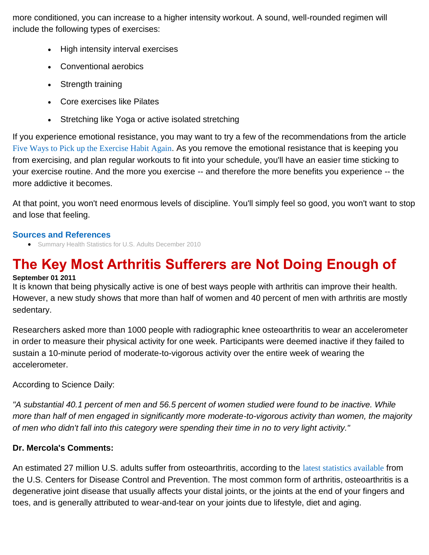more conditioned, you can increase to a higher intensity workout. A sound, well-rounded regimen will include the following types of exercises:

- High intensity interval exercises
- Conventional aerobics
- Strength training
- Core exercises like Pilates
- Stretching like Yoga or active isolated stretching

If you experience emotional resistance, you may want to try a few of the recommendations from the article [Five Ways to Pick up the Exercise Habit Again](http://articles.mercola.com/sites/articles/archive/2009/01/20/five-ways-to-pick-up-the-exercise-habit-again.aspx). As you remove the emotional resistance that is keeping you from exercising, and plan regular workouts to fit into your schedule, you'll have an easier time sticking to your exercise routine. And the more you exercise -- and therefore the more benefits you experience -- the more addictive it becomes.

At that point, you won't need enormous levels of discipline. You'll simply feel so good, you won't want to stop and lose that feeling.

#### **Sources and References**

[Summary Health Statistics for U.S. Adults December 2010](http://www.cdc.gov/nchs/data/series/sr_10/sr10_249.pdf)

# **The Key Most Arthritis Sufferers are Not Doing Enough of**

#### **September 01 2011**

It is known that being physically active is one of best ways people with arthritis can improve their health. However, a new study shows that more than half of women and 40 percent of men with arthritis are mostly sedentary.

Researchers asked more than 1000 people with radiographic knee osteoarthritis to wear an accelerometer in order to measure their physical activity for one week. Participants were deemed inactive if they failed to sustain a 10-minute period of moderate-to-vigorous activity over the entire week of wearing the accelerometer.

According to Science Daily:

*"A substantial 40.1 percent of men and 56.5 percent of women studied were found to be inactive. While more than half of men engaged in significantly more moderate-to-vigorous activity than women, the majority of men who didn't fall into this category were spending their time in no to very light activity."*

## **Dr. Mercola's Comments:**

An estimated 27 million U.S. adults suffer from osteoarthritis, according to the [latest statistics available](http://www.cdc.gov/arthritis/data_statistics/arthritis_related_stats.htm) from the U.S. Centers for Disease Control and Prevention. The most common form of arthritis, osteoarthritis is a degenerative joint disease that usually affects your distal joints, or the joints at the end of your fingers and toes, and is generally attributed to wear-and-tear on your joints due to lifestyle, diet and aging.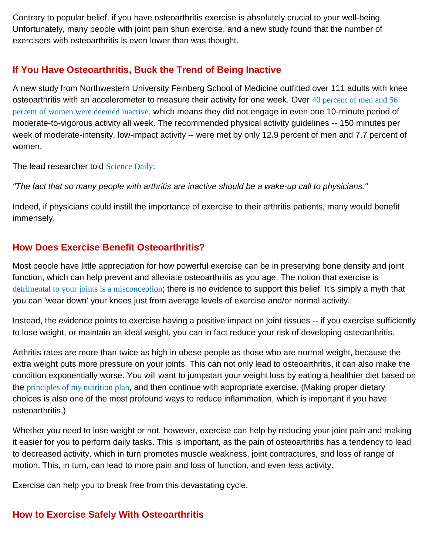Contrary to popular belief, if you have osteoarthritis exercise is absolutely crucial to your well-being. Unfortunately, many people with joint pain shun exercise, and a new study found that the number of exercisers with osteoarthritis is even lower than was thought.

## **If You Have Osteoarthritis, Buck the Trend of Being Inactive**

A new study from Northwestern University Feinberg School of Medicine outfitted over 111 adults with knee osteoarthritis with an accelerometer to measure their activity for one week. Over 40 percent of men and 56 [percent of women were deemed inactive](http://www.ncbi.nlm.nih.gov/pubmed/21792835), which means they did not engage in even one 10-minute period of moderate-to-vigorous activity all week. The recommended physical activity guidelines -- 150 minutes per week of moderate-intensity, low-impact activity -- were met by only 12.9 percent of men and 7.7 percent of women.

The lead researcher told [Science Daily](http://www.sciencedaily.com/releases/2011/08/110810141257.htm):

*"The fact that so many people with arthritis are inactive should be a wake-up call to physicians."*

Indeed, if physicians could instill the importance of exercise to their arthritis patients, many would benefit immensely.

## **How Does Exercise Benefit Osteoarthritis?**

Most people have little appreciation for how powerful exercise can be in preserving bone density and joint function, which can help prevent and alleviate osteoarthritis as you age. The notion that exercise is [detrimental to your joints is a misconception](http://articles.mercola.com/sites/articles/archive/2009/02/19/exercise-poses-no-danger-to-your-joints.aspx); there is no evidence to support this belief. It's simply a myth that you can 'wear down' your knees just from average levels of exercise and/or normal activity.

Instead, the evidence points to exercise having a positive impact on joint tissues -- if you exercise sufficiently to lose weight, or maintain an ideal weight, you can in fact reduce your risk of developing osteoarthritis.

Arthritis rates are more than twice as high in obese people as those who are normal weight, because the extra weight puts more pressure on your joints. This can not only lead to osteoarthritis, it can also make the condition exponentially worse. You will want to jumpstart your weight loss by eating a healthier diet based on the [principles of my nutrition plan](http://www.mercola.com/nutritionplan/index.htm), and then continue with appropriate exercise. (Making proper dietary choices is also one of the most profound ways to reduce inflammation, which is important if you have osteoarthritis,)

Whether you need to lose weight or not, however, exercise can help by reducing your joint pain and making it easier for you to perform daily tasks. This is important, as the pain of osteoarthritis has a tendency to lead to decreased activity, which in turn promotes muscle weakness, joint contractures, and loss of range of motion. This, in turn, can lead to more pain and loss of function, and even *less* activity.

Exercise can help you to break free from this devastating cycle.

# **How to Exercise Safely With Osteoarthritis**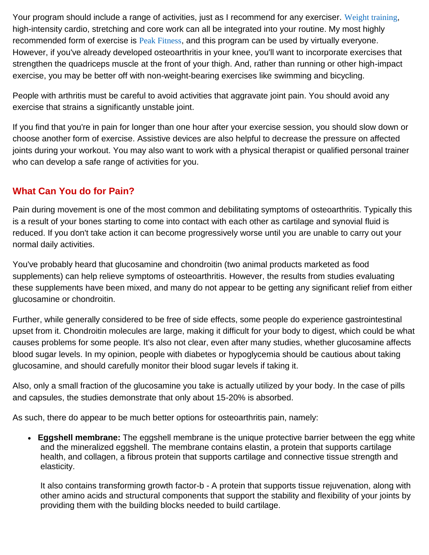Your program should include a range of activities, just as I recommend for any exerciser. [Weight training](http://fitness.mercola.com/sites/fitness/archive/2010/08/28/arthritis-patients-benefit-from-weight-training.aspx), high-intensity cardio, stretching and core work can all be integrated into your routine. My most highly recommended form of exercise is [Peak Fitness](http://fitness.mercola.com/sites/fitness/archive/2010/06/26/10-minutes-of-exercise-yields-hourlong-effects.aspx), and this program can be used by virtually everyone. However, if you've already developed osteoarthritis in your knee, you'll want to incorporate exercises that strengthen the quadriceps muscle at the front of your thigh. And, rather than running or other high-impact exercise, you may be better off with non-weight-bearing exercises like swimming and bicycling.

People with arthritis must be careful to avoid activities that aggravate joint pain. You should avoid any exercise that strains a significantly unstable joint.

If you find that you're in pain for longer than one hour after your exercise session, you should slow down or choose another form of exercise. Assistive devices are also helpful to decrease the pressure on affected joints during your workout. You may also want to work with a physical therapist or qualified personal trainer who can develop a safe range of activities for you.

# **What Can You do for Pain?**

Pain during movement is one of the most common and debilitating symptoms of osteoarthritis. Typically this is a result of your bones starting to come into contact with each other as cartilage and synovial fluid is reduced. If you don't take action it can become progressively worse until you are unable to carry out your normal daily activities.

You've probably heard that glucosamine and chondroitin (two animal products marketed as food supplements) can help relieve symptoms of osteoarthritis. However, the results from studies evaluating these supplements have been mixed, and many do not appear to be getting any significant relief from either glucosamine or chondroitin.

Further, while generally considered to be free of side effects, some people do experience gastrointestinal upset from it. Chondroitin molecules are large, making it difficult for your body to digest, which could be what causes problems for some people. It's also not clear, even after many studies, whether glucosamine affects blood sugar levels. In my opinion, people with diabetes or hypoglycemia should be cautious about taking glucosamine, and should carefully monitor their blood sugar levels if taking it.

Also, only a small fraction of the glucosamine you take is actually utilized by your body. In the case of pills and capsules, the studies demonstrate that only about 15-20% is absorbed.

As such, there do appear to be much better options for osteoarthritis pain, namely:

 **Eggshell membrane:** The eggshell membrane is the unique protective barrier between the egg white and the mineralized eggshell. The membrane contains elastin, a protein that supports cartilage health, and collagen, a fibrous protein that supports cartilage and connective tissue strength and elasticity.

It also contains transforming growth factor-b - A protein that supports tissue rejuvenation, along with other amino acids and structural components that support the stability and flexibility of your joints by providing them with the building blocks needed to build cartilage.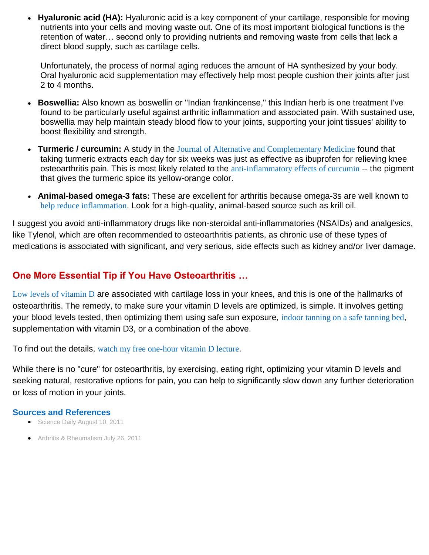**Hyaluronic acid (HA):** Hyaluronic acid is a key component of your cartilage, responsible for moving nutrients into your cells and moving waste out. One of its most important biological functions is the retention of water… second only to providing nutrients and removing waste from cells that lack a direct blood supply, such as cartilage cells.

Unfortunately, the process of normal aging reduces the amount of HA synthesized by your body. Oral hyaluronic acid supplementation may effectively help most people cushion their joints after just 2 to 4 months.

- **Boswellia:** Also known as boswellin or "Indian frankincense," this Indian herb is one treatment I've found to be particularly useful against arthritic inflammation and associated pain. With sustained use, boswellia may help maintain steady blood flow to your joints, supporting your joint tissues' ability to boost flexibility and strength.
- **Turmeric / curcumin:** A study in the [Journal of Alternative and Complementary Medicine](http://www.ncbi.nlm.nih.gov/pubmed/19678780) found that taking turmeric extracts each day for six weeks was just as effective as ibuprofen for relieving knee osteoarthritis pain. This is most likely related to the [anti-inflammatory effects of curcumin](http://articles.mercola.com/sites/articles/archive/2011/06/27/safe-and-effective--alternative-to-motrin-for-arthritis.aspx) -- the pigment that gives the turmeric spice its yellow-orange color.
- **Animal-based omega-3 fats:** These are excellent for arthritis because omega-3s are well known to [help reduce inflammation](http://articles.mercola.com/sites/articles/archive/2011/05/10/omega3-fats-shown-to-decrease-risk-of-dying-from-inflammatory-diseases.aspx). Look for a high-quality, animal-based source such as krill oil.

I suggest you avoid anti-inflammatory drugs like non-steroidal anti-inflammatories (NSAIDs) and analgesics, like Tylenol, which are often recommended to osteoarthritis patients, as chronic use of these types of medications is associated with significant, and very serious, side effects such as kidney and/or liver damage.

#### **One More Essential Tip if You Have Osteoarthritis …**

[Low levels of vitamin D](http://blogs.mercola.com/sites/vitalvotes/archive/2009/06/02/Vitamin-D-Prevents-Knee-Osteoarthritis.aspx) are associated with cartilage loss in your knees, and this is one of the hallmarks of osteoarthritis. The remedy, to make sure your vitamin D levels are optimized, is simple. It involves getting your blood levels tested, then optimizing them using safe sun exposure, [indoor tanning on a safe tanning bed](http://articles.mercola.com/sites/articles/archive/2009/08/18/Are-Tanning-Beds-Really-as-Dangerous-as-Arsenic-and-Mustard-Gas.aspx), supplementation with vitamin D3, or a combination of the above.

To find out the details, [watch my free one-hour vitamin D lecture](http://articles.mercola.com/sites/articles/archive/2008/12/16/my-one-hour-vitamin-d-lecture-to-clear-up-all-your-confusion-on-this-vital-nutrient.aspx).

While there is no "cure" for osteoarthritis, by exercising, eating right, optimizing your vitamin D levels and seeking natural, restorative options for pain, you can help to significantly slow down any further deterioration or loss of motion in your joints.

#### **Sources and References**

- [Science Daily August 10, 2011](http://www.sciencedaily.com/releases/2011/08/110810141257.htm)
- [Arthritis & Rheumatism July 26, 2011](http://www.ncbi.nlm.nih.gov/pubmed/21792835)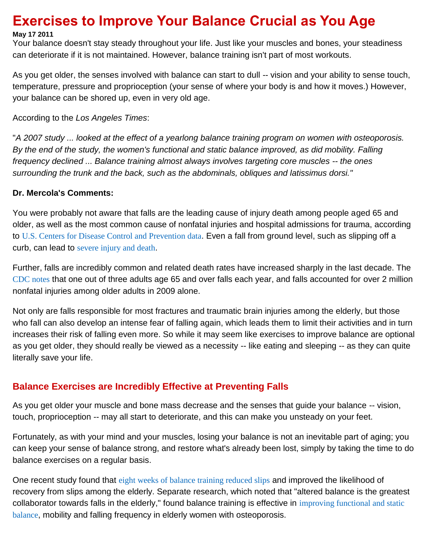# **Exercises to Improve Your Balance Crucial as You Age**

#### **May 17 2011**

Your balance doesn't stay steady throughout your life. Just like your muscles and bones, your steadiness can deteriorate if it is not maintained. However, balance training isn't part of most workouts.

As you get older, the senses involved with balance can start to dull -- vision and your ability to sense touch, temperature, pressure and proprioception (your sense of where your body is and how it moves.) However, your balance can be shored up, even in very old age.

According to the *Los Angeles Times*:

"*A 2007 study ... looked at the effect of a yearlong balance training program on women with osteoporosis. By the end of the study, the women's functional and static balance improved, as did mobility. Falling frequency declined ... Balance training almost always involves targeting core muscles -- the ones surrounding the trunk and the back, such as the abdominals, obliques and latissimus dorsi."*

#### **Dr. Mercola's Comments:**

You were probably not aware that falls are the leading cause of injury death among people aged 65 and older, as well as the most common cause of nonfatal injuries and hospital admissions for trauma, according to [U.S. Centers for Disease Control and Prevention data](http://www.cdc.gov/HomeandRecreationalSafety/Falls/adultfalls.html). Even a fall from ground level, such as slipping off a curb, can lead to [severe injury and death](http://journals.lww.com/jtrauma/Abstract/2010/10000/Ground_Level_Falls_Are_Associated_With_Significant.14.aspx).

Further, falls are incredibly common and related death rates have increased sharply in the last decade. The [CDC notes](http://www.cdc.gov/HomeandRecreationalSafety/Falls/adultfalls.html) that one out of three adults age 65 and over falls each year, and falls accounted for over 2 million nonfatal injuries among older adults in 2009 alone.

Not only are falls responsible for most fractures and traumatic brain injuries among the elderly, but those who fall can also develop an intense fear of falling again, which leads them to limit their activities and in turn increases their risk of falling even more. So while it may seem like exercises to improve balance are optional as you get older, they should really be viewed as a necessity -- like eating and sleeping -- as they can quite literally save your life.

# **Balance Exercises are Incredibly Effective at Preventing Falls**

As you get older your muscle and bone mass decrease and the senses that guide your balance -- vision, touch, proprioception -- may all start to deteriorate, and this can make you unsteady on your feet.

Fortunately, as with your mind and your muscles, losing your balance is not an inevitable part of aging; you can keep your sense of balance strong, and restore what's already been lost, simply by taking the time to do balance exercises on a regular basis.

One recent study found that [eight weeks of balance training reduced slips](http://journals.lww.com/intjrehabilres/Abstract/2010/03000/Effects_of_8_weeks_of_balance_or_weight_training.8.aspx) and improved the likelihood of recovery from slips among the elderly. Separate research, which noted that "altered balance is the greatest collaborator towards falls in the elderly," found balance training is effective in [improving functional and static](http://www.ncbi.nlm.nih.gov/pmc/articles/PMC1820755/)  [balance](http://www.ncbi.nlm.nih.gov/pmc/articles/PMC1820755/), mobility and falling frequency in elderly women with osteoporosis.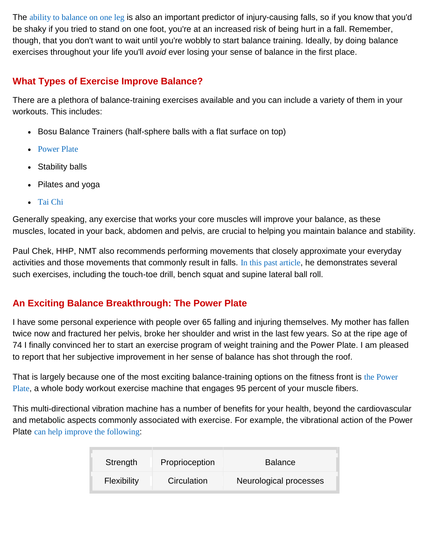The [ability to balance on one leg](http://www.ncbi.nlm.nih.gov/pubmed/9180669) is also an important predictor of injury-causing falls, so if you know that you'd be shaky if you tried to stand on one foot, you're at an increased risk of being hurt in a fall. Remember, though, that you don't want to wait until you're wobbly to start balance training. Ideally, by doing balance exercises throughout your life you'll *avoid* ever losing your sense of balance in the first place.

## **What Types of Exercise Improve Balance?**

There are a plethora of balance-training exercises available and you can include a variety of them in your workouts. This includes:

- Bosu Balance Trainers (half-sphere balls with a flat surface on top)
- [Power Plate](http://fitness.mercola.com/sites/fitness/archive/2011/03/08/power-plate-the-ultimate-whole-body-workout.aspx)
- Stability balls
- Pilates and yoga
- [Tai Chi](http://fitness.mercola.com/sites/fitness/archive/2011/02/26/for-health-benefits-try-tai-chi.aspx)

Generally speaking, any exercise that works your core muscles will improve your balance, as these muscles, located in your back, abdomen and pelvis, are crucial to helping you maintain balance and stability.

Paul Chek, HHP, NMT also recommends performing movements that closely approximate your everyday activities and those movements that commonly result in falls. [In this past article](http://articles.mercola.com/sites/articles/archive/2005/04/09/balance-training.aspx), he demonstrates several such exercises, including the touch-toe drill, bench squat and supine lateral ball roll.

# **An Exciting Balance Breakthrough: The Power Plate**

I have some personal experience with people over 65 falling and injuring themselves. My mother has fallen twice now and fractured her pelvis, broke her shoulder and wrist in the last few years. So at the ripe age of 74 I finally convinced her to start an exercise program of weight training and the Power Plate. I am pleased to report that her subjective improvement in her sense of balance has shot through the roof.

That is largely because one of the most exciting balance-training options on the fitness front is [the Power](http://fitness.mercola.com/sites/fitness/archive/2011/02/16/power-plate-the-most-exciting-fitness-breakthrough-in-decades.aspx)  [Plate](http://fitness.mercola.com/sites/fitness/archive/2011/02/16/power-plate-the-most-exciting-fitness-breakthrough-in-decades.aspx), a whole body workout exercise machine that engages 95 percent of your muscle fibers.

This multi-directional vibration machine has a number of benefits for your health, beyond the cardiovascular and metabolic aspects commonly associated with exercise. For example, the vibrational action of the Power Plate [can help improve the following](http://articles.mercola.com/sites/articles/archive/2010/11/09/new-simple-way-to-improve-your-bone-health.aspx):

| Strength    | Proprioception | <b>Balance</b>         |  |
|-------------|----------------|------------------------|--|
| Flexibility | Circulation    | Neurological processes |  |